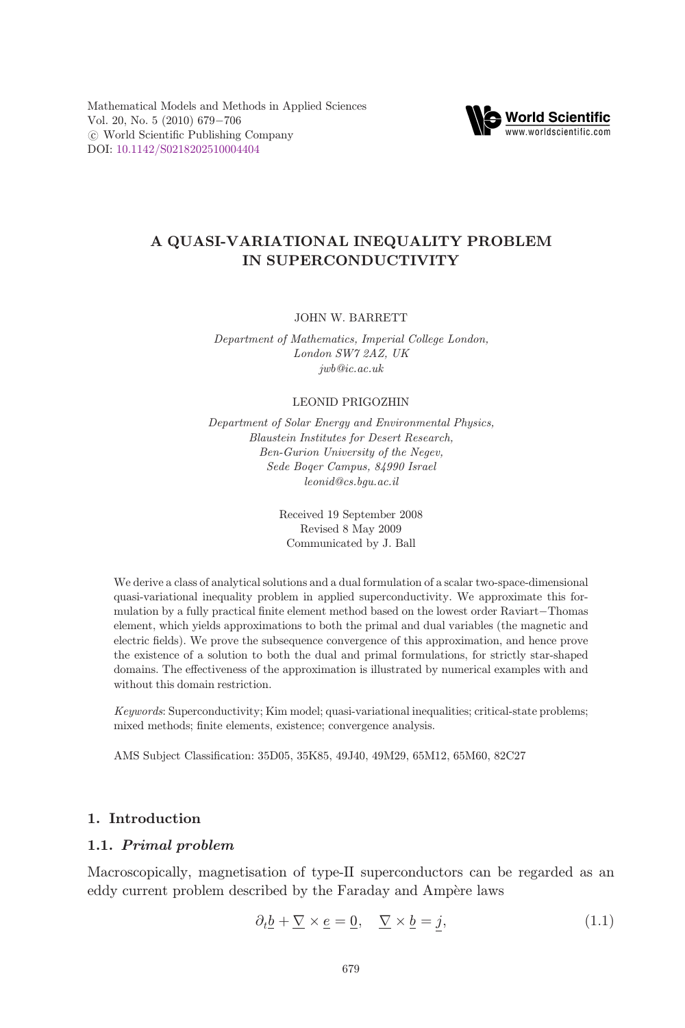<span id="page-0-0"></span>Mathematical Models and Methods in Applied Sciences Vol. 20, No. 5  $(2010)$  679-706  $\circ$  World Scientific Publishing Company DOI: [10.1142/S0218202510004404](http://dx.doi.org/10.1142/S0218202510004404)



## A QUASI-VARIATIONAL INEQUALITY PROBLEM IN SUPERCONDUCTIVITY

#### JOHN W. BARRETT

Department of Mathematics, Imperial College London, London SW7 2AZ, UK jwb@ic.ac.uk

#### LEONID PRIGOZHIN

Department of Solar Energy and Environmental Physics, Blaustein Institutes for Desert Research, Ben-Gurion University of the Negev, Sede Boqer Campus, 84990 Israel leonid@cs.bgu.ac.il

> Received 19 September 2008 Revised 8 May 2009 Communicated by J. Ball

We derive a class of analytical solutions and a dual formulation of a scalar two-space-dimensional quasi-variational inequality problem in applied superconductivity. We approximate this formulation by a fully practical finite element method based on the lowest order Raviart-Thomas element, which yields approximations to both the primal and dual variables (the magnetic and electric fields). We prove the subsequence convergence of this approximation, and hence prove the existence of a solution to both the dual and primal formulations, for strictly star-shaped domains. The effectiveness of the approximation is illustrated by numerical examples with and without this domain restriction.

Keywords: Superconductivity; Kim model; quasi-variational inequalities; critical-state problems; mixed methods; finite elements, existence; convergence analysis.

AMS Subject Classification: 35D05, 35K85, 49J40, 49M29, 65M12, 65M60, 82C27

## 1. Introduction

## 1.1. Primal problem

Macroscopically, magnetisation of type-II superconductors can be regarded as an eddy current problem described by the Faraday and Ampere laws

$$
\partial_t \underline{b} + \underline{\nabla} \times \underline{e} = \underline{0}, \quad \underline{\nabla} \times \underline{b} = \underline{j}, \tag{1.1}
$$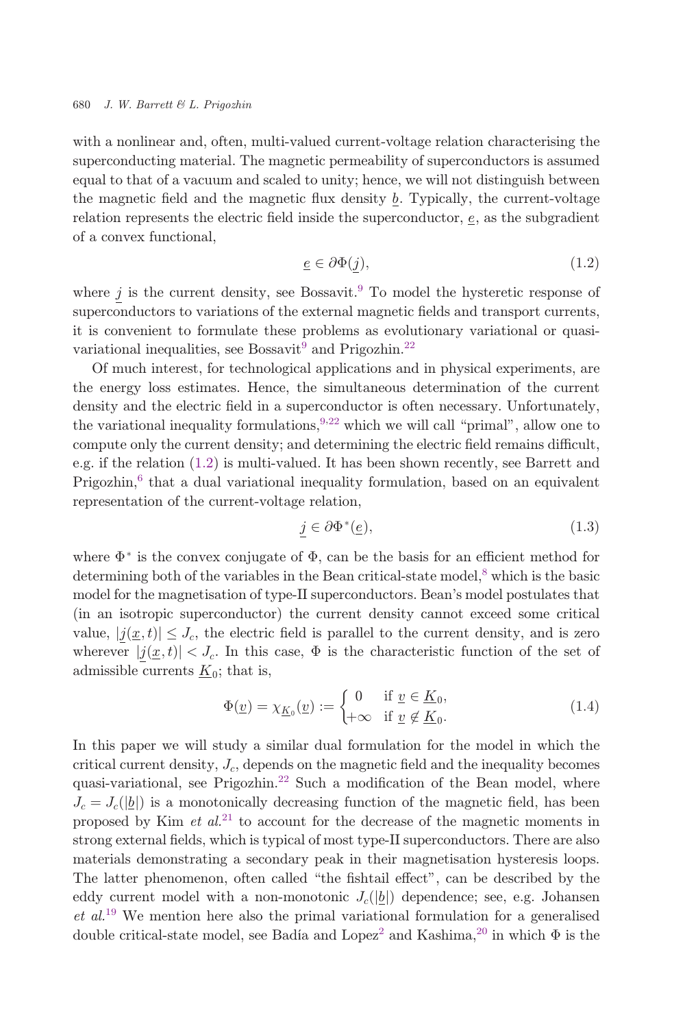<span id="page-1-0"></span>with a nonlinear and, often, multi-valued current-voltage relation characterising the superconducting material. The magnetic permeability of superconductors is assumed equal to that of a vacuum and scaled to unity; hence, we will not distinguish between the magnetic field and the magnetic flux density  $b$ . Typically, the current-voltage relation represents the electric field inside the superconductor,  $e$ , as the subgradient of a convex functional,

$$
\underline{e} \in \partial \Phi(\underline{j}),\tag{1.2}
$$

where  $\underline{j}$  is the current density, see Bossavit.<sup>9</sup> To model the hysteretic response of superconductors to variations of the external magnetic fields and transport currents, it is convenient to formulate these problems as evolutionary variational or quasi-variational inequalities, see Bossavit<sup>9</sup> and Prigozhin.<sup>[22](#page-27-0)</sup>

Of much interest, for technological applications and in physical experiments, are the energy loss estimates. Hence, the simultaneous determination of the current density and the electric field in a superconductor is often necessary. Unfortunately, the variational inequality formulations,  $9,22$  $9,22$  which we will call "primal", allow one to compute only the current density; and determining the electric field remains difficult, e.g. if the relation (1.2) is multi-valued. It has been shown recently, see Barrett and  $Prigozhin<sub>0</sub>$  that a dual variational inequality formulation, based on an equivalent representation of the current-voltage relation,

$$
\underline{j} \in \partial \Phi^*(\underline{e}),\tag{1.3}
$$

where  $\Phi^*$  is the convex conjugate of  $\Phi$ , can be the basis for an efficient method for determining both of the variables in the Bean critical-state model,<sup>[8](#page-26-0)</sup> which is the basic model for the magnetisation of type-II superconductors. Bean's model postulates that (in an isotropic superconductor) the current density cannot exceed some critical value,  $|j(x,t)| \leq J_c$ , the electric field is parallel to the current density, and is zero wherever  $|\underline{j}(\underline{x},t)| < J_c$ . In this case,  $\Phi$  is the characteristic function of the set of edmissible currents K is that is admissible currents  $K_0$ ; that is,

$$
\Phi(\underline{v}) = \chi_{\underline{K}_0}(\underline{v}) := \begin{cases} 0 & \text{if } \underline{v} \in \underline{K}_0, \\ +\infty & \text{if } \underline{v} \notin \underline{K}_0. \end{cases}
$$
\n(1.4)

In this paper we will study a similar dual formulation for the model in which the critical current density,  $J_c$ , depends on the magnetic field and the inequality becomes quasi-variational, see Prigozhin.<sup>[22](#page-27-0)</sup> Such a modification of the Bean model, where  $J_c = J_c(|\underline{b}|)$  is a monotonically decreasing function of the magnetic field, has been proposed by Kim  $et\ al^{21}$  $et\ al^{21}$  $et\ al^{21}$  to account for the decrease of the magnetic moments in strong external fields, which is typical of most type-II superconductors. There are also materials demonstrating a secondary peak in their magnetisation hysteresis loops. The latter phenomenon, often called "the fishtail effect", can be described by the eddy current model with a non-monotonic  $J_c(\vert b \vert)$  dependence; see, e.g. Johansen  $et al.<sup>19</sup>$  $et al.<sup>19</sup>$  $et al.<sup>19</sup>$  We mention here also the primal variational formulation for a generalised double critical-state model, see Badía and Lopez<sup>[2](#page-26-0)</sup> and Kashima,<sup>[20](#page-27-0)</sup> in which  $\Phi$  is the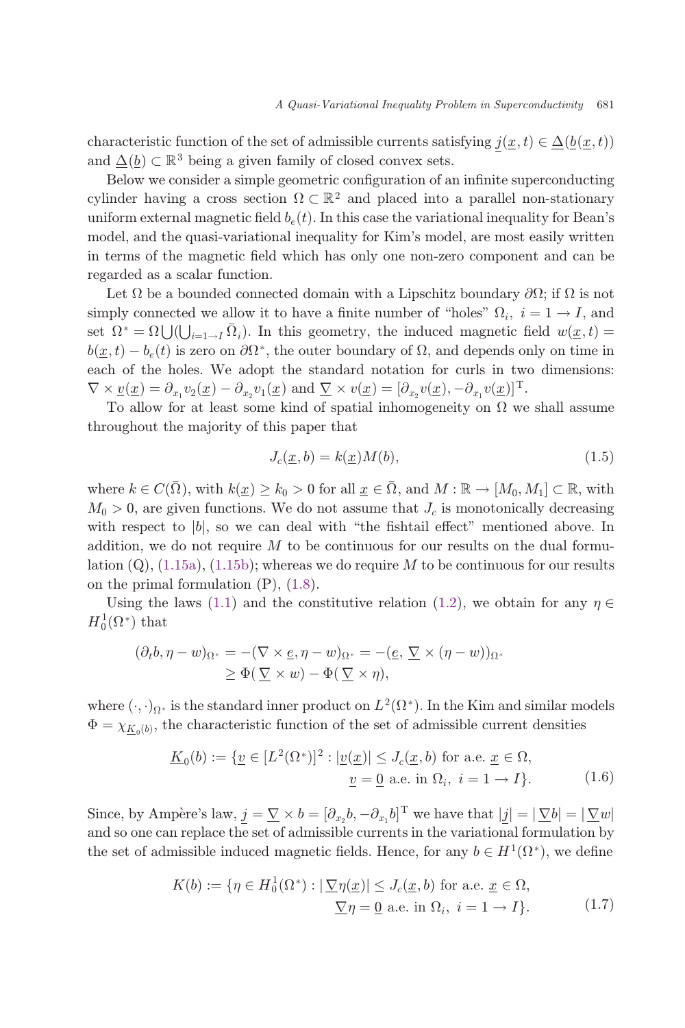<span id="page-2-0"></span>characteristic function of the set of admissible currents satisfying  $j(\underline{x},t) \in \underline{\Delta}(\underline{b}(\underline{x},t))$ and  $\Delta(b) \subset \mathbb{R}^3$  being a given family of closed convex sets.

Below we consider a simple geometric configuration of an infinite superconducting cylinder having a cross section  $\Omega \subset \mathbb{R}^2$  and placed into a parallel non-stationary uniform external magnetic field  $b_e(t)$ . In this case the variational inequality for Bean's model, and the quasi-variational inequality for Kim's model, are most easily written in terms of the magnetic field which has only one non-zero component and can be regarded as a scalar function.

Let  $\Omega$  be a bounded connected domain with a Lipschitz boundary  $\partial\Omega$ ; if  $\Omega$  is not simply connected we allow it to have a finite number of "holes"  $\Omega_i$ ,  $i = 1 \rightarrow I$ , and set  $\Omega^* = \Omega \bigcup (\bigcup_{i=1 \to I} \bar{\Omega}_i)$ . In this geometry, the induced magnetic field  $w(\underline{x},t) =$ <br> $h(x, t) = h(t)$  is zero on  $\partial \Omega^*$ , the outer boundary of  $\Omega$  and depends only on time in  $b(\underline{x},t)-b_{\varepsilon}(t)$  is zero on  $\partial\Omega^*$ , the outer boundary of  $\Omega$ , and depends only on time in each of the holes. We adopt the standard notation for curls in two dimensions:  $\nabla \times \underline{v}(\underline{x}) = \partial_{x_1} v_2(\underline{x}) - \partial_{x_2} v_1(\underline{x})$  and  $\nabla \times v(\underline{x}) = [\partial_{x_2} v(\underline{x}), -\partial_{x_1} v(\underline{x})]^{\mathrm{T}}$ .<br>To allow for at lost some kind of spatial inhomogonaity on Q we

To allow for at least some kind of spatial inhomogeneity on  $\Omega$  we shall assume throughout the majority of this paper that

$$
J_c(\underline{x}, b) = k(\underline{x})M(b),\tag{1.5}
$$

where  $k \in C(\overline{\Omega})$ , with  $k(\underline{x}) \geq k_0 > 0$  for all  $\underline{x} \in \overline{\Omega}$ , and  $M : \mathbb{R} \to [M_0, M_1] \subset \mathbb{R}$ , with  $M_0 > 0$ , are given functions. We do not assume that  $J_c$  is monotonically decreasing with respect to  $|b|$ , so we can deal with "the fishtail effect" mentioned above. In addition, we do not require  $M$  to be continuous for our results on the dual formulation  $(Q)$ ,  $(1.15a)$  $(1.15a)$ ,  $(1.15b)$  $(1.15b)$ ; whereas we do require M to be continuous for our results on the primal formulation  $(P)$ ,  $(1.8)$  $(1.8)$ .

Using the laws ([1.1](#page-0-0)) and the constitutive relation [\(1.2](#page-1-0)), we obtain for any  $\eta \in (0^*)$  that  $H_0^1(\Omega^*)$  that

$$
(\partial_t b, \eta - w)_{\Omega^*} = -(\nabla \times \underline{e}, \eta - w)_{\Omega^*} = -(\underline{e}, \underline{\nabla} \times (\eta - w))_{\Omega^*}
$$
  

$$
\geq \Phi(\underline{\nabla} \times w) - \Phi(\underline{\nabla} \times \eta),
$$

where  $(\cdot, \cdot)_{\Omega^*}$  is the standard inner product on  $L^2(\Omega^*)$ . In the Kim and similar models  $\Phi = \chi_{\underline{K}_0(b)}$ , the characteristic function of the set of admissible current densities

$$
\underline{K}_0(b) := \{ \underline{v} \in [L^2(\Omega^*)]^2 : |\underline{v}(\underline{x})| \le J_c(\underline{x}, b) \text{ for a.e. } \underline{x} \in \Omega,
$$
  

$$
\underline{v} = \underline{0} \text{ a.e. in } \Omega_i, \ i = 1 \to I \}.
$$
 (1.6)

Since, by Ampère's law,  $\underline{j} = \nabla \times b = [\partial_{x_2}b, -\partial_{x_1}b]^T$  we have that  $|\underline{j}| = |\nabla b| = |\nabla w|$ <br>and so one say replace the set of admissible survents in the veristional formulation by and so one can replace the set of admissible currents in the variational formulation by the set of admissible induced magnetic fields. Hence, for any  $b \in H^1(\Omega^*),$  we define

$$
K(b) := \{ \eta \in H_0^1(\Omega^*) : |\nabla \eta(\underline{x})| \le J_c(\underline{x}, b) \text{ for a.e. } \underline{x} \in \Omega, \n\underline{\nabla} \eta = \underline{0} \text{ a.e. in } \Omega_i, \ i = 1 \to I \}. \tag{1.7}
$$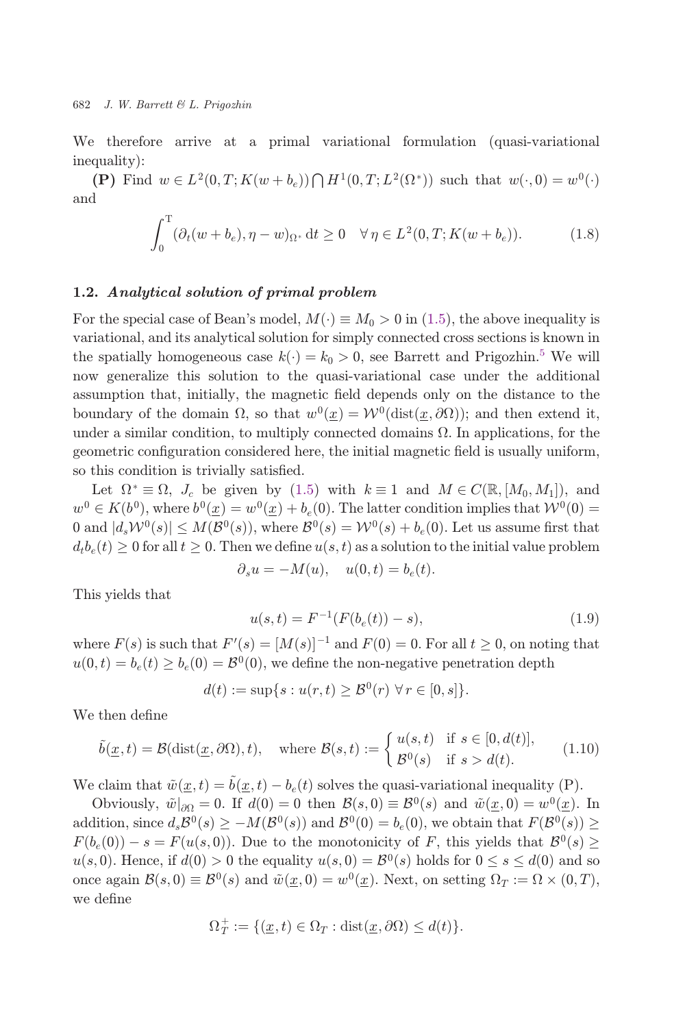<span id="page-3-0"></span>We therefore arrive at a primal variational formulation (quasi-variational inequality):

(P) Find  $w \in L^2(0,T; K(w + b_e)) \bigcap H^1(0,T; L^2(\Omega^*))$  such that  $w(\cdot,0) = w^0(\cdot)$ and

$$
\int_0^T (\partial_t (w + b_e), \eta - w)_{\Omega^*} dt \ge 0 \quad \forall \eta \in L^2(0, T; K(w + b_e)).
$$
 (1.8)

## 1.2. Analytical solution of primal problem

For the special case of Bean's model,  $M(\cdot) \equiv M_0 > 0$  in ([1.5](#page-2-0)), the above inequality is variational, and its analytical solution for simply connected cross sections is known in the spatially homogeneous case  $k(\cdot) = k_0 > 0$ , see Barrett and Prigozhin.<sup>[5](#page-26-0)</sup> We will now generalize this solution to the quasi-variational case under the additional assumption that, initially, the magnetic field depends only on the distance to the boundary of the domain  $\Omega$ , so that  $w^0(x) = \mathcal{W}^0(\text{dist}(x, \partial \Omega))$ ; and then extend it, under a similar condition, to multiply connected domains  $\Omega$ . In applications, for the geometric configuration considered here, the initial magnetic field is usually uniform, so this condition is trivially satisfied.

Let  $\Omega^* \equiv \Omega$ ,  $J_c$  be given by ([1.5](#page-2-0)) with  $k \equiv 1$  and  $M \in C(\mathbb{R}, [M_0, M_1])$ , and  $w^0 \in K(b^0)$ , where  $b^0(\underline{x}) = w^0(\underline{x}) + b_e(0)$ . The latter condition implies that  $\mathcal{W}^0(0) =$ 0 and  $|d_s\mathcal{W}^0(s)| \leq M(\mathcal{B}^0(s))$ , where  $\mathcal{B}^0(s) = \mathcal{W}^0(s) + b_e(0)$ . Let us assume first that  $d_t b_e(t) \geq 0$  for all  $t \geq 0$ . Then we define  $u(s,t)$  as a solution to the initial value problem

$$
\partial_s u = -M(u), \quad u(0,t) = b_e(t).
$$

This yields that

$$
u(s,t) = F^{-1}(F(b_e(t)) - s),
$$
\n(1.9)

where  $F(s)$  is such that  $F'(s) = [M(s)]^{-1}$  and  $F(0) = 0$ . For all  $t \geq 0$ , on noting that  $\alpha(0, t) = b_1(t) \geq b_2(0) - B(0)$ , we define the non-negative penetration dants  $u(0,t) = b<sub>e</sub>(t) \geq b<sub>e</sub>(0) = \mathcal{B}^0(0)$ , we define the non-negative penetration depth

$$
d(t) := \sup\{s : u(r,t) \geq \mathcal{B}^0(r) \,\,\forall\, r \in [0,s]\}.
$$

We then define

$$
\tilde{b}(\underline{x},t) = \mathcal{B}(\text{dist}(\underline{x},\partial\Omega),t), \quad \text{where } \mathcal{B}(s,t) := \begin{cases} u(s,t) & \text{if } s \in [0,d(t)],\\ \mathcal{B}^0(s) & \text{if } s > d(t). \end{cases} \tag{1.10}
$$

We claim that  $\tilde{w}(x,t) = \tilde{b}(x,t) - b_{e}(t)$  solves the quasi-variational inequality (P).

Obviously,  $\tilde{w}|_{\partial\Omega} = 0$ . If  $d(0) = 0$  then  $\mathcal{B}(s, 0) \equiv \mathcal{B}^0(s)$  and  $\tilde{w}(x, 0) = w^0(x)$ . In addition, since  $d_s \mathcal{B}^0(s) \geq -M(\mathcal{B}^0(s))$  and  $\mathcal{B}^0(0) = b_e(0)$ , we obtain that  $F(\mathcal{B}^0(s)) \geq$  $F(b_e(0)) - s = F(u(s,0))$ . Due to the monotonicity of F, this yields that  $\mathcal{B}^0(s) \geq$  $u(s,0)$ . Hence, if  $d(0) > 0$  the equality  $u(s,0) = \mathcal{B}^0(s)$  holds for  $0 \leq s \leq d(0)$  and so once again  $\mathcal{B}(s,0) \equiv \mathcal{B}^0(s)$  and  $\tilde{w}(\underline{x},0) = w^0(\underline{x})$ . Next, on setting  $\Omega_T := \Omega \times (0,T)$ , we define

$$
\Omega_T^+ := \{(\underline{x}, t) \in \Omega_T : \text{dist}(\underline{x}, \partial \Omega) \le d(t)\}.
$$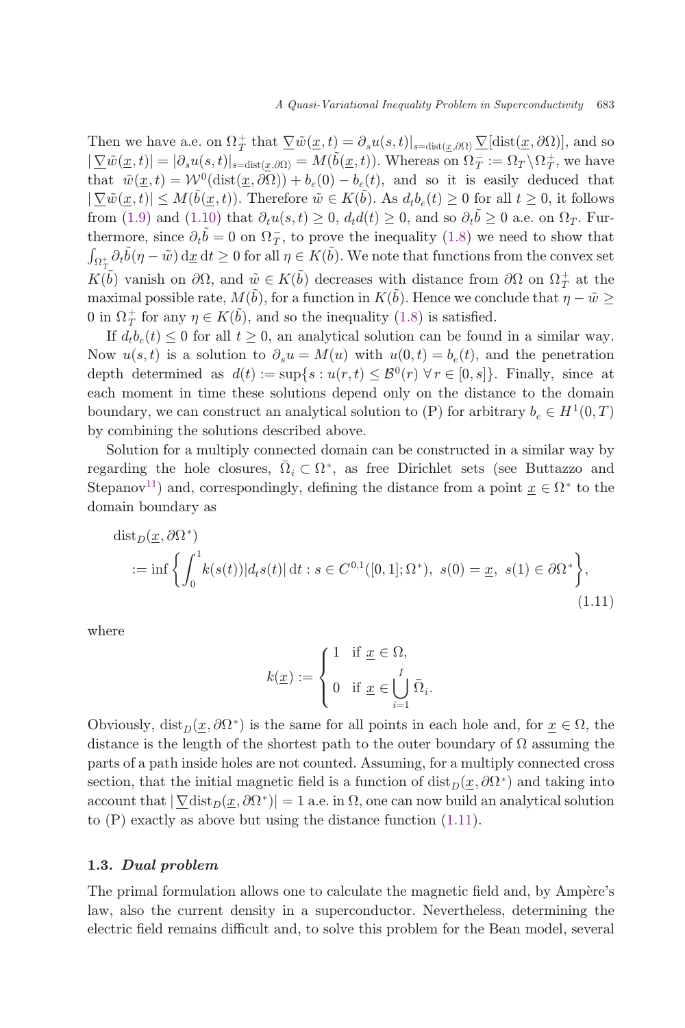Then we have a.e. on  $\Omega_T^+$  that  $\nabla \tilde{w}(\underline{x},t) = \partial_s u(s,t)|_{s=\text{dist}(\underline{x},\partial\Omega)} \nabla[\text{dist}(\underline{x},\partial\Omega)],$  and so  $|\nabla \tilde{w}(x,t)| = |\partial_s u(s,t)|$  $|\nabla \tilde{w}(\underline{x},t)| = |\partial_s u(s,t)|_{s=\text{dist}(\underline{x},\partial\Omega)} = M(\tilde{b}(\underline{x},t)).$  Whereas on  $\Omega_T^- := \Omega_T \setminus \Omega_T^+$ , we have<br>that  $\tilde{w}(x,t) = \mathcal{W}^0(\text{dist}(x,\partial\Omega)) + b(0) - b(t)$  and so it is easily deduced that that  $\tilde{w}(\underline{x},t) = \mathcal{W}^0(\text{dist}(\underline{x},\partial\Omega)) + b_e(0) - b_e(t)$ , and so it is easily deduced that  $|\nabla \tilde{w}(\underline{x},t)| \leq M(\tilde{b}(\underline{x},t)).$  Therefore  $\tilde{w} \in K(\tilde{b})$ . As  $d_t b_e(t) \geq 0$  for all  $t \geq 0$ , it follows from [\(1.9\)](#page-3-0) and [\(1.10\)](#page-3-0) that  $\partial_t u(s,t) \geq 0$ ,  $d_t d(t) \geq 0$ , and so  $\partial_t \tilde{b} \geq 0$  a.e. on  $\Omega_T$ . Fur-<br>thermore since  $\partial_t \tilde{b} = 0$  on  $\Omega^-$  to prove the inequality (1.8) we need to show that thermore, since  $\partial_t \tilde{b} = 0$  on  $\Omega_T^-,$  to prove the inequality [\(1.8\)](#page-3-0) we need to show that  $\int_{\Omega} \partial_t \tilde{b}(n - \tilde{w}) dr dt \ge 0$  for all  $n \in K(\tilde{b})$ . We note that functions from the convex set  $\int_{\Omega_{+}^{+}} \partial_{t} \tilde{b}(\eta - \tilde{w}) d\underline{x} dt \geq 0$  for all  $\eta \in K(\tilde{b})$ . We note that functions from the convex set  $K(\tilde{b})$  vanish on  $\partial\Omega$ , and  $\tilde{w} \in K(\tilde{b})$  decreases with distance from  $\partial\Omega$  on  $\Omega_T^+$  at the movimal possible rate  $M(\tilde{b})$  for a function in  $K(\tilde{b})$ . Hence we conclude that  $x - \tilde{w}$ maximal possible rate,  $M(\tilde{b})$ , for a function in  $K(\tilde{b})$ . Hence we conclude that  $\eta - \tilde{w} \ge 0$  in  $\Omega$ <sup>+</sup> for any  $n \in K(\tilde{b})$ , and so the inequality (1.8) is satisfied 0 in  $\Omega_T^+$  for any  $\eta \in K(\tilde{b})$ , and so the inequality [\(1.8\)](#page-3-0) is satisfied.<br>If d b (t) < 0 for all t > 0 an analytical solution can be found

If  $d_t b_e(t) \leq 0$  for all  $t \geq 0$ , an analytical solution can be found in a similar way. Now  $u(s,t)$  is a solution to  $\partial_s u = M(u)$  with  $u(0,t) = b_e(t)$ , and the penetration depth determined as  $d(t) := \sup\{s : u(r,t) \leq \mathcal{B}^0(r) \,\forall r \in [0,s]\}.$  Finally, since at each moment in time these solutions depend only on the distance to the domain boundary, we can construct an analytical solution to  $(P)$  for arbitrary  $b_e \in H^1(0,T)$ by combining the solutions described above.

Solution for a multiply connected domain can be constructed in a similar way by regarding the hole closures,  $\overline{\Omega}_i \subset \Omega^*$ , as free Dirichlet sets (see Buttazzo and Stepanov<sup>[11](#page-26-0)</sup>) and, correspondingly, defining the distance from a point  $\underline{x} \in \Omega^*$  to the domain boundary as

$$
\text{dist}_D(\underline{x}, \partial \Omega^*)
$$
  
 :=  $\inf \left\{ \int_0^1 k(s(t)) |d_t s(t)| \, \text{d}t : s \in C^{0,1}([0, 1]; \Omega^*), \ s(0) = \underline{x}, \ s(1) \in \partial \Omega^* \right\},$  (1.11)

where

$$
k(\underline{x}) := \begin{cases} 1 & \text{if } \underline{x} \in \Omega, \\ 0 & \text{if } \underline{x} \in \bigcup_{i=1}^{I} \overline{\Omega}_{i}. \end{cases}
$$

Obviously,  $dist_D(x, \partial \Omega^*)$  is the same for all points in each hole and, for  $x \in \Omega$ , the distance is the length of the shortest path to the outer boundary of  $\Omega$  assuming the parts of a path inside holes are not counted. Assuming, for a multiply connected cross section, that the initial magnetic field is a function of  $dist_D(x, \partial \Omega^*)$  and taking into account that  $|\nabla \text{dist}_D(\underline{x}, \partial \Omega^*)| = 1$  a.e. in  $\Omega$ , one can now build an analytical solution to (P) exactly as above but using the distance function (1.11).

## 1.3. Dual problem

The primal formulation allows one to calculate the magnetic field and, by Ampère's law, also the current density in a superconductor. Nevertheless, determining the electric field remains difficult and, to solve this problem for the Bean model, several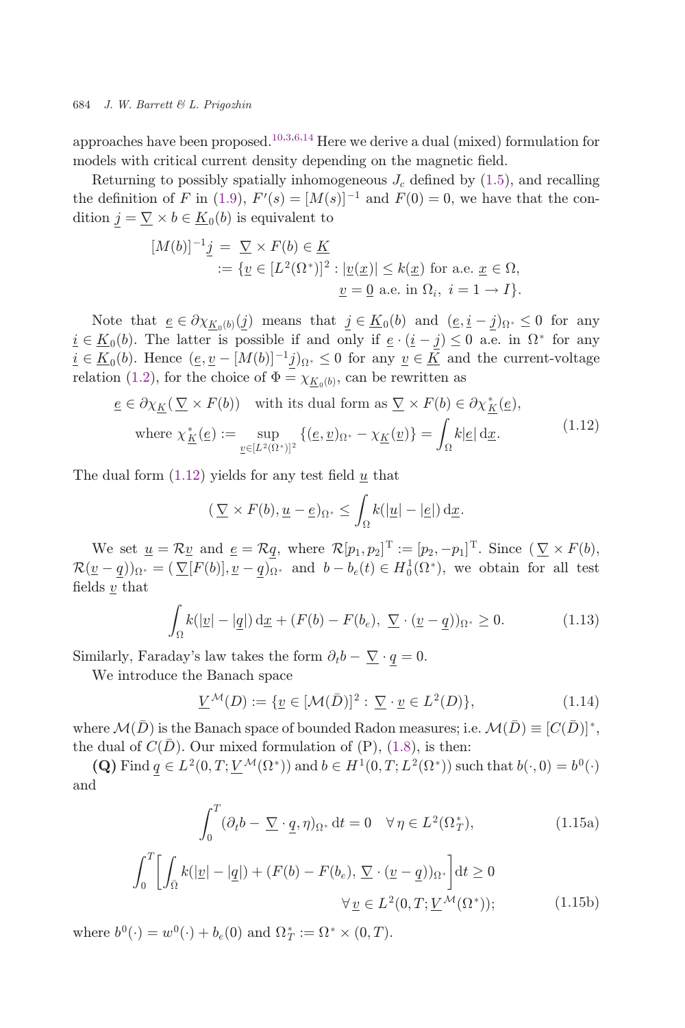<span id="page-5-0"></span>approaches have been proposed.<sup>[10,3,6,14](#page-26-0)</sup> Here we derive a dual (mixed) formulation for models with critical current density depending on the magnetic field.

Returning to possibly spatially inhomogeneous  $J_c$  defined by  $(1.5)$  $(1.5)$ , and recalling the definition of F in [\(1.9\)](#page-3-0),  $F'(s) = [M(s)]^{-1}$  and  $F(0) = 0$ , we have that the condition  $j = \nabla \times b \in K$ . (b) is equivalent to dition  $\underline{j} = \underline{\nabla} \times b \in \underline{K}_0(b)$  is equivalent to

$$
[M(b)]^{-1} \underline{j} = \underline{\nabla} \times F(b) \in \underline{K}
$$
  
 := { $\underline{v} \in [L^2(\Omega^*)]^2 : |\underline{v}(\underline{x})| \le k(\underline{x})$  for a.e.  $\underline{x} \in \Omega$ ,  
  $\underline{v} = \underline{0}$  a.e. in  $\Omega_i$ ,  $i = 1 \rightarrow I$  }.

Note that  $\underline{e} \in \partial \chi_{K_0(b)}(j)$  means that  $j \in \underline{K}_0(b)$  and  $(\underline{e}, \underline{i} - j)_{\Omega^*} \leq 0$  for any  $i \in K_0(b)$ . The latter is possible if and only if  $\underline{e} \cdot (\underline{i} - \underline{j}) \leq 0$  a.e. in  $\Omega^*$  for any  $i \in \underline{K}_0(b)$ . Hence  $(\underline{e}, \underline{v} - [M(b)]^{-1}j)_{\Omega^*} \leq 0$  for any  $\underline{v} \in \underline{K}$  and the current-voltage relation ([1.2\)](#page-1-0), for the choice of  $\Phi = \chi_{\underline{K}_0(b)}$ , can be rewritten as

$$
\underline{e} \in \partial \chi_{\underline{K}}(\underline{\nabla} \times F(b)) \quad \text{with its dual form as } \underline{\nabla} \times F(b) \in \partial \chi_{\underline{K}}^*(\underline{e}),
$$
\n
$$
\text{where } \chi_{\underline{K}}^*(\underline{e}) := \sup_{\underline{v} \in [L^2(\Omega^*)]^2} \{ (\underline{e}, \underline{v})_{\Omega^*} - \chi_{\underline{K}}(\underline{v}) \} = \int_{\Omega} k |\underline{e}| \, \mathrm{d} \underline{x}.
$$
\n
$$
(1.12)
$$

The dual form  $(1.12)$  yields for any test field u that

$$
(\underline{\nabla} \times F(b), \underline{u} - \underline{e})_{\Omega^*} \le \int_{\Omega} k(|\underline{u}| - |\underline{e}|) \, \mathrm{d}\underline{x}.
$$

We set  $\underline{u} = \mathcal{R}\underline{v}$  and  $\underline{e} = \mathcal{R}\underline{q}$ , where  $\mathcal{R}[p_1, p_2]^T := [p_2, -p_1]^T$ . Since  $(\nabla \times F(b),$ <br>  $\mathcal{R}[p_1, p_2] = (n-1)(\nabla \times F(b))$  and  $b = b$  (t)  $\in H^1(\Omega^*)$  are obtain for all test  $\mathcal{R}(\underline{v} - \underline{q})\Omega_{\Omega^*} = (\nabla [F(b)], \underline{v} - \underline{q}\Omega_{\Omega^*}$  and  $b - b_e(t) \in H_0^1(\Omega^*),$  we obtain for all test fields  $\underline{v}$  that

$$
\int_{\Omega} k(|\underline{v}| - |\underline{q}|) \, \mathrm{d}\underline{x} + (F(b) - F(b_e), \ \nabla \cdot (\underline{v} - \underline{q}))_{\Omega^*} \ge 0. \tag{1.13}
$$

Similarly, Faraday's law takes the form  $\partial_t b - \nabla \cdot q = 0$ .

We introduce the Banach space

$$
\underline{V}^{\mathcal{M}}(D) := \{ \underline{v} \in [\mathcal{M}(\bar{D})]^2 : \underline{\nabla} \cdot \underline{v} \in L^2(D) \},\tag{1.14}
$$

where  $\mathcal{M}(\bar{D})$  is the Banach space of bounded Radon measures; i.e.  $\mathcal{M}(\bar{D}) \equiv [C(\bar{D})]^*,$ the dual of  $C(D)$ . Our mixed formulation of  $(P)$ ,  $(1.8)$ , is then:

(Q) Find  $q \in L^2(0,T; \underline{V}^{\mathcal{M}}(\Omega^*))$  and  $b \in H^1(0,T; L^2(\Omega^*))$  such that  $b(\cdot,0) = b^0(\cdot)$ and

$$
\int_0^T (\partial_t b - \underline{\nabla} \cdot \underline{q}, \eta)_{\Omega^*} dt = 0 \quad \forall \eta \in L^2(\Omega^*_T),
$$
\n(1.15a)

$$
\int_0^T \left[ \int_{\bar{\Omega}} k(|\underline{v}| - |\underline{q}|) + (F(b) - F(b_e), \underline{\nabla} \cdot (\underline{v} - \underline{q}))_{\Omega^*} \right] dt \ge 0
$$
  

$$
\forall \underline{v} \in L^2(0, T; \underline{V}^{\mathcal{M}}(\Omega^*)); \tag{1.15b}
$$

where  $b^0(\cdot) = w^0(\cdot) + b_e(0)$  and  $\Omega^*_T := \Omega^* \times (0, T)$ .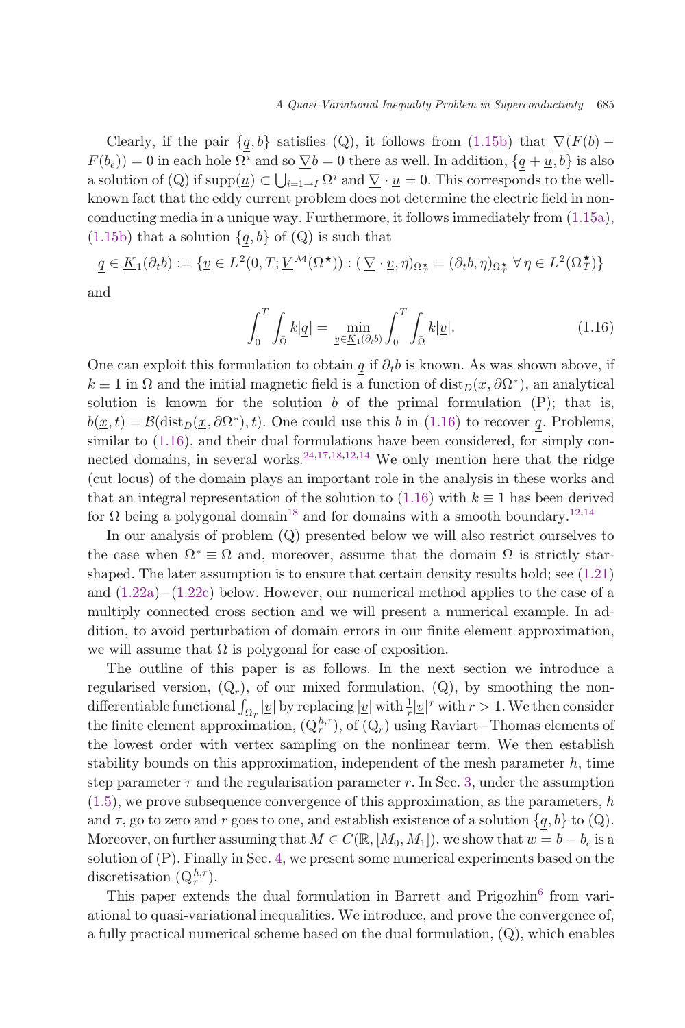Clearly, if the pair  $\{q, b\}$  satisfies (Q), it follows from [\(1.15b\)](#page-5-0) that  $\nabla(F(b) F(b_e) = 0$  in each hole  $\Omega^i$  and so  $\nabla b = 0$  there as well. In addition,  $\{q + \underline{u}, b\}$  is also a solution of  $(Q)$  if supp $(\underline{u}) \subset \bigcup_{i=1}^{i} N^i$  and  $\underline{V} \cdot \underline{u} = 0$ . This corresponds to the well-<br>known fact that the oddy current problem does not determine the electric field in nonknown fact that the eddy current problem does not determine the electric field in nonconducting media in a unique way. Furthermore, it follows immediately from ([1.15a](#page-5-0)),  $(1.15b)$  $(1.15b)$  that a solution  $\{q, b\}$  of  $(Q)$  is such that

$$
\underline{q} \in \underline{K}_1(\partial_t b) := \{ \underline{v} \in L^2(0, T; \underline{V}^{\mathcal{M}}(\Omega^{\star})) : (\underline{\nabla} \cdot \underline{v}, \eta)_{\Omega_T^{\star}} = (\partial_t b, \eta)_{\Omega_T^{\star}} \,\forall \,\eta \in L^2(\Omega_T^{\star}) \}
$$

and

$$
\int_0^T \int_{\bar{\Omega}} k|\underline{q}| = \min_{\underline{v} \in \underline{K}_1(\partial_t b)} \int_0^T \int_{\bar{\Omega}} k|\underline{v}|. \tag{1.16}
$$

One can exploit this formulation to obtain q if  $\partial_t b$  is known. As was shown above, if  $k \equiv 1$  in  $\Omega$  and the initial magnetic field is a function of  $dist_D(x, \partial \Omega^*)$ , an analytical solution is known for the solution b of the primal formulation  $(P)$ ; that is,  $b(\underline{x},t) = \mathcal{B}(\text{dist}_D(\underline{x},\partial\Omega^*),t)$ . One could use this b in (1.16) to recover q. Problems, similar to (1.16), and their dual formulations have been considered, for simply connected domains, in several works.  $24,17,18,12,14$  $24,17,18,12,14$  $24,17,18,12,14$  $24,17,18,12,14$  We only mention here that the ridge (cut locus) of the domain plays an important role in the analysis in these works and that an integral representation of the solution to  $(1.16)$  with  $k \equiv 1$  has been derived for  $\Omega$  being a polygonal domain<sup>18</sup> and for domains with a smooth boundary.<sup>[12,14](#page-26-0)</sup>

In our analysis of problem (Q) presented below we will also restrict ourselves to the case when  $\Omega^* \equiv \Omega$  and, moreover, assume that the domain  $\Omega$  is strictly starshaped. The later assumption is to ensure that certain density results hold; see [\(1.21](#page-8-0)) and  $(1.22a)-(1.22c)$  $(1.22a)-(1.22c)$  $(1.22a)-(1.22c)$  $(1.22a)-(1.22c)$  $(1.22a)-(1.22c)$  below. However, our numerical method applies to the case of a multiply connected cross section and we will present a numerical example. In addition, to avoid perturbation of domain errors in our finite element approximation, we will assume that  $\Omega$  is polygonal for ease of exposition.

The outline of this paper is as follows. In the next section we introduce a regularised version,  $(Q_r)$ , of our mixed formulation,  $(Q)$ , by smoothing the nondifferentiable functional  $\int_{\Omega_T} |\underline{v}|$  by replacing  $|\underline{v}|$  with  $\frac{1}{r} |\underline{v}|^r$  with  $r > 1$ . We then consider the finite element enproximation  $(\Omega^{h,\tau})$  of  $(\Omega)$  wing Boyjart. Themas elements of the finite element approximation,  $(Q_r^{h,\tau})$ , of  $(Q_r)$  using Raviart-Thomas elements of<br>the lewest order with vertex sampling on the poplinear term. We then establish the lowest order with vertex sampling on the nonlinear term. We then establish stability bounds on this approximation, independent of the mesh parameter  $h$ , time step parameter  $\tau$  and the regularisation parameter r. In Sec. [3](#page-13-0), under the assumption  $(1.5)$  $(1.5)$  $(1.5)$ , we prove subsequence convergence of this approximation, as the parameters, h and  $\tau$ , go to zero and r goes to one, and establish existence of a solution  $\{q, b\}$  to  $(Q)$ . Moreover, on further assuming that  $M \in C(\mathbb{R}, [M_0, M_1])$ , we show that  $w = b - b_e$  is a solution of (P). Finally in Sec. [4,](#page-20-0) we present some numerical experiments based on the discretisation  $(Q_r^{h,\tau})$ .

This paper extends the dual formulation in Barrett and Prigozhin<sup>[6](#page-26-0)</sup> from variational to quasi-variational inequalities. We introduce, and prove the convergence of, a fully practical numerical scheme based on the dual formulation, (Q), which enables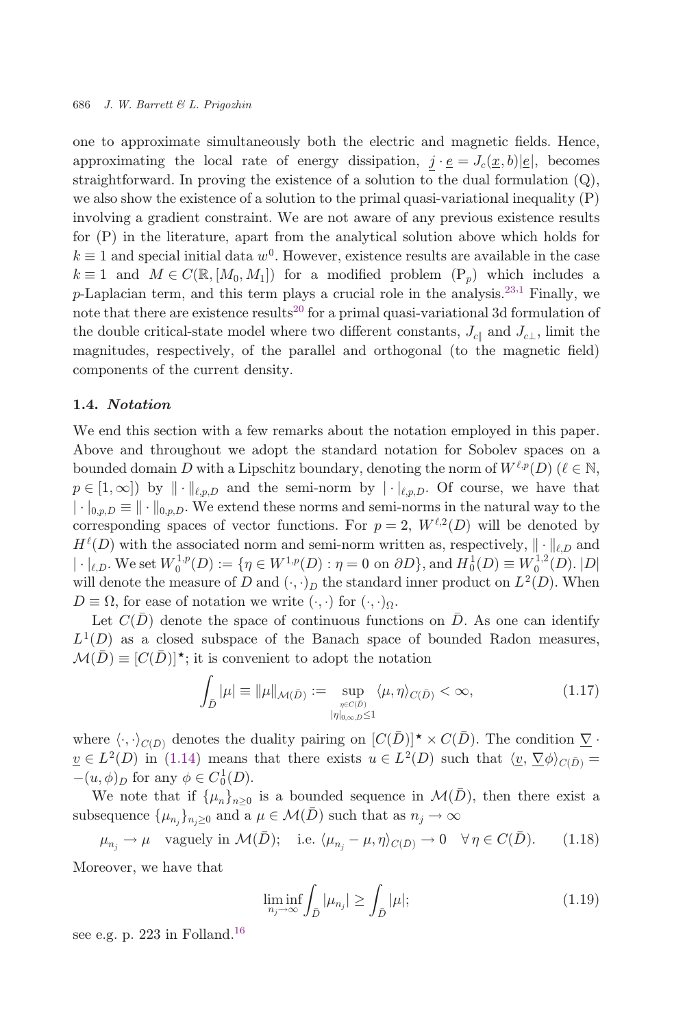<span id="page-7-0"></span>one to approximate simultaneously both the electric and magnetic fields. Hence, approximating the local rate of energy dissipation,  $j \cdot \underline{e} = J_c(\underline{x}, b)|\underline{e}|$ , becomes straightforward. In proving the existence of a solution to the dual formulation  $(Q)$ , we also show the existence of a solution to the primal quasi-variational inequality (P) involving a gradient constraint. We are not aware of any previous existence results for (P) in the literature, apart from the analytical solution above which holds for  $k \equiv 1$  and special initial data  $w^0$ . However, existence results are available in the case  $k \equiv 1$  and  $M \in C(\mathbb{R}, [M_0, M_1])$  for a modified problem  $(P_n)$  which includes a p-Laplacian term, and this term plays a crucial role in the analysis.<sup>[23](#page-27-0)[,1](#page-26-0)</sup> Finally, we note that there are existence results<sup>[20](#page-27-0)</sup> for a primal quasi-variational 3d formulation of the double critical-state model where two different constants,  $J_{c\parallel}$  and  $J_{c\perp}$ , limit the magnitudes, respectively, of the parallel and orthogonal (to the magnetic field) components of the current density.

#### 1.4. Notation

We end this section with a few remarks about the notation employed in this paper. Above and throughout we adopt the standard notation for Sobolev spaces on a bounded domain D with a Lipschitz boundary, denoting the norm of  $W^{\ell,p}(D)$  ( $\ell \in \mathbb{N}$ ,  $p \in [1,\infty]$  by  $\|\cdot\|_{\ell,p,D}$  and the semi-norm by  $|\cdot|_{\ell,p,D}$ . Of course, we have that  $\|\cdot\|_{0,p,D} \equiv \|\cdot\|_{0,p,D}$ . We extend these norms and semi-norms in the natural way to the corresponding spaces of vector functions. For  $p = 2$ ,  $W^{\ell,2}(D)$  will be denoted by  $H^{\ell}(D)$  with the associated norm and semi-norm written as, respectively,  $\|\cdot\|_{\ell,D}$  and  $|\cdot|_{\ell,D}$ . We set  $W_0^{1,p}(D) := \{\eta \in W^{1,p}(D) : \eta = 0 \text{ on } \partial D\}$ , and  $H_0^1(D) \equiv W_0^{1,2}(D)$ .  $|D|$ <br>will denote the measure of D and  $(\ldots)$  the standard inner product on  $L^2(D)$ . When will denote the measure of D and  $(\cdot, \cdot)_D$  the standard inner product on  $L^2(D)$ . When  $D \equiv \Omega$ , for ease of notation we write  $(\cdot, \cdot)$  for  $(\cdot, \cdot)_{\Omega}$ .

Let  $C(\overline{D})$  denote the space of continuous functions on  $\overline{D}$ . As one can identify  $L^1(D)$  as a closed subspace of the Banach space of bounded Radon measures,  $\mathcal{M}(\bar{D}) \equiv [C(\bar{D})]^{\star}$ ; it is convenient to adopt the notation

$$
\int_{\bar{D}} |\mu| \equiv ||\mu||_{\mathcal{M}(\bar{D})} := \sup_{\substack{\eta \in C(\bar{D}) \\ |\eta|_{0,\infty,\bar{D}} \le 1}} \langle \mu, \eta \rangle_{C(\bar{D})} < \infty,\tag{1.17}
$$

where  $\langle \cdot, \cdot \rangle_{C(\bar{D})}$  denotes the duality pairing on  $[C(\bar{D})] \star \times C(\bar{D})$ . The condition  $\underline{\nabla} \cdot$ <br>  $C \subset L^2(D)$  in (1.14) means that there exists  $u \in L^2(D)$  such that  $\langle u, \nabla \phi \rangle = \pm \sqrt{2}$  $v \in L^2(D)$  in ([1.14\)](#page-5-0) means that there exists  $u \in L^2(D)$  such that  $\langle v, \nabla \phi \rangle_{C(\bar{D})} =$  $-(u, \phi)_D$  for any  $\phi \in C_0^1(D)$ .<br>We note that if  $\{u\}$ 

We note that if  $\{\mu_n\}_{n>0}$  is a bounded sequence in  $\mathcal{M}(D)$ , then there exist a subsequence  $\{\mu_{n_j}\}_{n_j \geq 0}$  and a  $\mu \in \mathcal{M}(\overline{D})$  such that as  $n_j \to \infty$ 

$$
\mu_{n_j} \to \mu
$$
 vaguely in  $\mathcal{M}(\bar{D})$ ; i.e.  $\langle \mu_{n_j} - \mu, \eta \rangle_{C(\bar{D})} \to 0 \quad \forall \eta \in C(\bar{D})$ . (1.18)

Moreover, we have that

$$
\liminf_{n_j \to \infty} \int_{\bar{D}} |\mu_{n_j}| \ge \int_{\bar{D}} |\mu|; \tag{1.19}
$$

see e.g. p. 223 in Folland.<sup>16</sup>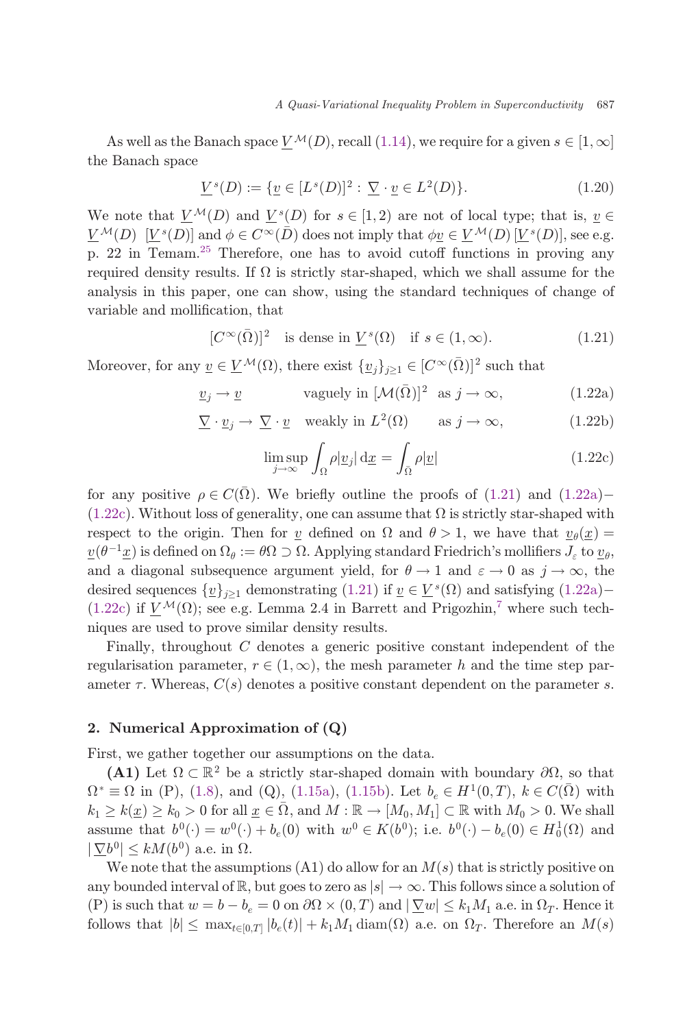<span id="page-8-0"></span>As well as the Banach space  $V^{\mathcal{M}}(D)$ , recall [\(1.14\)](#page-5-0), we require for a given  $s \in [1,\infty]$ the Banach space

$$
\underline{V}^s(D) := \{ \underline{v} \in [L^s(D)]^2 : \underline{\nabla} \cdot \underline{v} \in L^2(D) \}. \tag{1.20}
$$

We note that  $V^{\mathcal{M}}(D)$  and  $V^{s}(D)$  for  $s \in [1,2)$  are not of local type; that is,  $v \in$  $V^{\mathcal{M}}(D)$   $[V^{s}(D)]$  and  $\phi \in C^{\infty}(\overline{D})$  does not imply that  $\phi \underline{v} \in V^{\mathcal{M}}(D)[V^{s}(D)]$ , see e.g. p. 22 in Temam.<sup>[25](#page-27-0)</sup> Therefore, one has to avoid cutoff functions in proving any required density results. If  $\Omega$  is strictly star-shaped, which we shall assume for the analysis in this paper, one can show, using the standard techniques of change of variable and mollification, that

$$
[C^{\infty}(\bar{\Omega})]^2 \text{ is dense in } \underline{V}^s(\Omega) \text{ if } s \in (1, \infty). \tag{1.21}
$$

Moreover, for any  $\underline{v} \in \underline{V}^{\mathcal{M}}(\Omega)$ , there exist  $\{\underline{v}_j\}_{j\geq 1} \in [C^{\infty}(\overline{\Omega})]^2$  such that

$$
\underline{v}_j \to \underline{v} \qquad \text{vaguely in } [\mathcal{M}(\bar{\Omega})]^2 \text{ as } j \to \infty,
$$
 (1.22a)

$$
\underline{\nabla} \cdot \underline{v}_j \to \underline{\nabla} \cdot \underline{v} \quad \text{weakly in } L^2(\Omega) \qquad \text{as } j \to \infty,
$$
 (1.22b)

$$
\limsup_{j \to \infty} \int_{\Omega} \rho |\underline{v}_j| \, \mathrm{d} \underline{x} = \int_{\bar{\Omega}} \rho |\underline{v}| \tag{1.22c}
$$

for any positive  $\rho \in C(\overline{\Omega})$ . We briefly outline the proofs of (1.21) and (1.22a)- $(1.22c)$ . Without loss of generality, one can assume that  $\Omega$  is strictly star-shaped with respect to the origin. Then for v defined on  $\Omega$  and  $\theta > 1$ , we have that  $v_{\theta}(x) =$  $\underline{v}(\theta^{-1}\underline{x})$  is defined on  $\Omega_{\theta} := \theta \Omega \supset \Omega$ . Applying standard Friedrich's mollifiers  $J_{\varepsilon}$  to  $\underline{v}_{\theta}$ ,<br>and a diagonal subsequence argument viold for  $\theta \to 1$  and  $\varepsilon \to 0$  as  $\dot{\theta} \to \infty$ , the and a diagonal subsequence argument yield, for  $\theta \to 1$  and  $\varepsilon \to 0$  as  $j \to \infty$ , the desired sequences  $\{v\}_{i\geq 1}$  demonstrating (1.21) if  $v \in V^s(\Omega)$  and satisfying (1.22a) (1.22c) if  $V^{\mathcal{M}}(\Omega)$ ; see e.g. Lemma 2.4 in Barrett and Prigozhin,<sup>[7](#page-26-0)</sup> where such techniques are used to prove similar density results.

Finally, throughout C denotes a generic positive constant independent of the regularisation parameter,  $r \in (1,\infty)$ , the mesh parameter h and the time step parameter  $\tau$ . Whereas,  $C(s)$  denotes a positive constant dependent on the parameter s.

#### 2. Numerical Approximation of (Q)

First, we gather together our assumptions on the data.

(A1) Let  $\Omega \subset \mathbb{R}^2$  be a strictly star-shaped domain with boundary  $\partial\Omega$ , so that  $\Omega^* \equiv \Omega$  in (P), [\(1.8](#page-3-0)), and (Q), ([1.15a](#page-5-0)), ([1.15b](#page-5-0)). Let  $b_e \in H^1(0,T)$ ,  $k \in C(\overline{\Omega})$  with  $k_1 \geq k(\underline{x}) \geq k_0 > 0$  for all  $\underline{x} \in \overline{\Omega}$ , and  $M : \mathbb{R} \to [M_0, M_1] \subset \mathbb{R}$  with  $M_0 > 0$ . We shall assume that  $b^0(\cdot) = w^0(\cdot) + b_e(0)$  with  $w^0 \in K(b^0)$ ; i.e.  $b^0(\cdot) - b_e(0) \in H_0^1(\Omega)$  and  $|\nabla b^0| \leq kM(b^0)$  a.e. in  $\Omega$ .

We note that the assumptions  $(A1)$  do allow for an  $M(s)$  that is strictly positive on any bounded interval of  $\mathbb{R}$ , but goes to zero as  $|s| \to \infty$ . This follows since a solution of (P) is such that  $w = b - b_e = 0$  on  $\partial\Omega \times (0,T)$  and  $|\nabla w| \le k_1 M_1$  a.e. in  $\Omega_T$ . Hence it<br>follows that  $|b| \le \max_{\Omega} |a| (t)| + |b| M_1 \text{dim}(\Omega)$  a.e. on  $\Omega$ . Therefore an  $M(a)$ follows that  $|b| \leq \max_{t \in [0,T]} |b_e(t)| + k_1 M_1 \text{diam}(\Omega)$  a.e. on  $\Omega_T$ . Therefore an  $M(s)$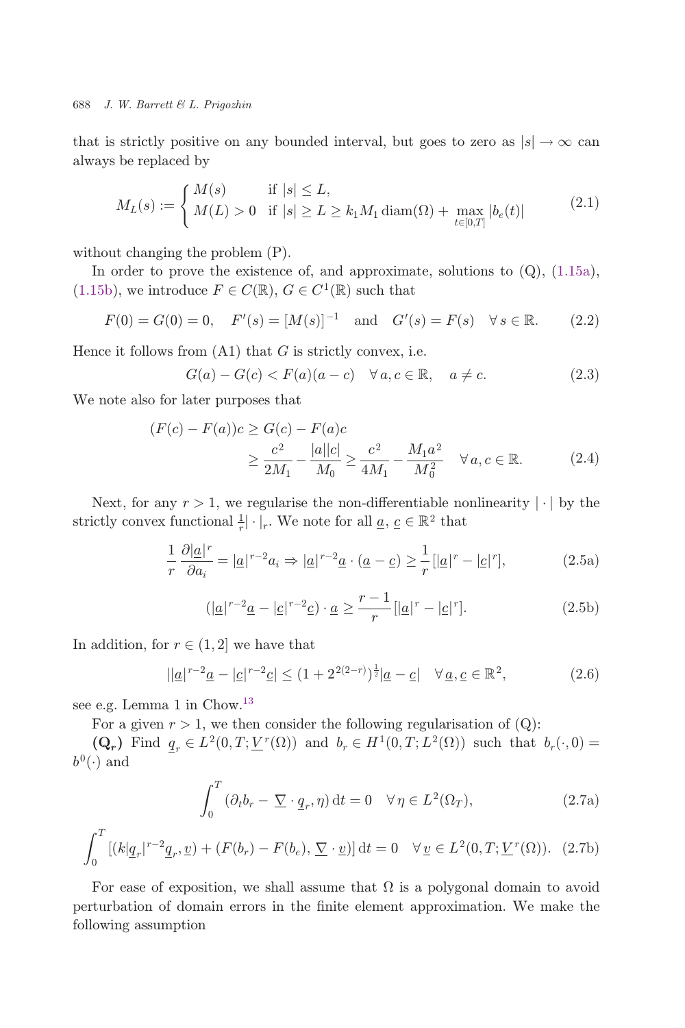<span id="page-9-0"></span>that is strictly positive on any bounded interval, but goes to zero as  $|s| \to \infty$  can always be replaced by

$$
M_L(s) := \begin{cases} M(s) & \text{if } |s| \le L, \\ M(L) > 0 & \text{if } |s| \ge L \ge k_1 M_1 \operatorname{diam}(\Omega) + \max_{t \in [0,T]} |b_e(t)| \end{cases}
$$
(2.1)

without changing the problem (P).

In order to prove the existence of, and approximate, solutions to  $(Q)$ ,  $(1.15a)$  $(1.15a)$  $(1.15a)$ , ([1.15b\)](#page-5-0), we introduce  $F \in C(\mathbb{R})$ ,  $G \in C^1(\mathbb{R})$  such that

$$
F(0) = G(0) = 0
$$
,  $F'(s) = [M(s)]^{-1}$  and  $G'(s) = F(s)$   $\forall s \in \mathbb{R}$ . (2.2)

Hence it follows from  $(A1)$  that G is strictly convex, i.e.

$$
G(a) - G(c) < F(a)(a - c) \quad \forall \, a, c \in \mathbb{R}, \quad a \neq c. \tag{2.3}
$$

We note also for later purposes that

$$
(F(c) - F(a))c \ge G(c) - F(a)c
$$
  
 
$$
\ge \frac{c^2}{2M_1} - \frac{|a||c|}{M_0} \ge \frac{c^2}{4M_1} - \frac{M_1a^2}{M_0^2} \quad \forall a, c \in \mathbb{R}.
$$
 (2.4)

Next, for any  $r > 1$ , we regularise the non-differentiable nonlinearity  $|\cdot|$  by the strictly convex functional  $\frac{1}{r} | \cdot |_r$ . We note for all  $\underline{a}, \underline{c} \in \mathbb{R}^2$  that

$$
\frac{1}{r}\frac{\partial |\underline{a}|^r}{\partial a_i} = |\underline{a}|^{r-2}a_i \Rightarrow |\underline{a}|^{r-2}\underline{a} \cdot (\underline{a}-\underline{c}) \ge \frac{1}{r} [|\underline{a}|^r - |\underline{c}|^r],\tag{2.5a}
$$

$$
(|\underline{a}|^{r-2}\underline{a}-|\underline{c}|^{r-2}\underline{c}) \cdot \underline{a} \ge \frac{r-1}{r} [|\underline{a}|^r - |\underline{c}|^r]. \tag{2.5b}
$$

In addition, for  $r \in (1, 2]$  we have that

$$
||\underline{a}|^{r-2}\underline{a} - |\underline{c}|^{r-2}\underline{c}| \le (1 + 2^{2(2-r)})^{\frac{1}{2}}|\underline{a} - \underline{c}| \quad \forall \underline{a}, \underline{c} \in \mathbb{R}^2,
$$
\n(2.6)

see e.g. Lemma 1 in Chow.<sup>[13](#page-26-0)</sup>

For a given  $r > 1$ , we then consider the following regularisation of  $(Q)$ :

 $(Q_r)$  Find  $q_r \in L^2(0,T; \underline{V}^r(\Omega))$  and  $b_r \in H^1(0,T; L^2(\Omega))$  such that  $b_r(\cdot,0)$  $b^0(\cdot)$  and

$$
\int_0^T (\partial_t b_r - \underline{\nabla} \cdot \underline{q}_r, \eta) dt = 0 \quad \forall \eta \in L^2(\Omega_T),
$$
\n(2.7a)

$$
\int_0^T \left[ (k|\underline{q}_r|^{r-2}\underline{q}_r, \underline{v}) + (F(b_r) - F(b_e), \underline{\nabla} \cdot \underline{v}) \right] dt = 0 \quad \forall \, \underline{v} \in L^2(0, T; \underline{V}^r(\Omega)). \tag{2.7b}
$$

For ease of exposition, we shall assume that  $\Omega$  is a polygonal domain to avoid perturbation of domain errors in the finite element approximation. We make the following assumption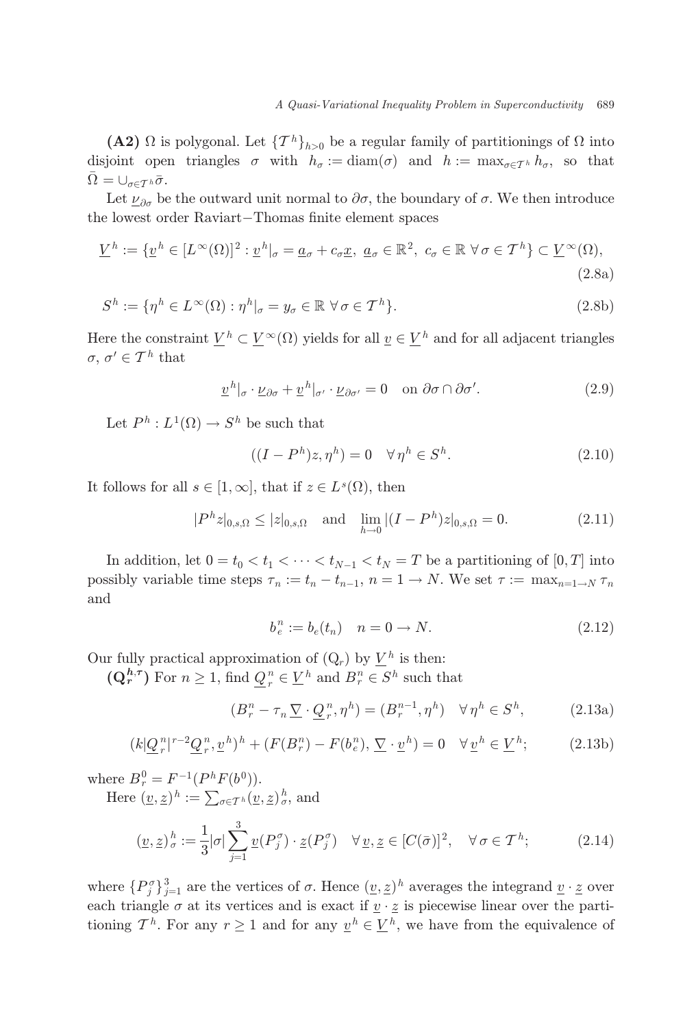<span id="page-10-0"></span>(A2)  $\Omega$  is polygonal. Let  $\{T^h\}_{h>0}$  be a regular family of partitionings of  $\Omega$  into disjoint open triangles  $\sigma$  with  $h_{\sigma} := \text{diam}(\sigma)$  and  $h := \max_{\sigma \in \mathcal{T}^h} h_{\sigma}$ , so that  $\bar{\Omega} = \cup_{\sigma \in \mathcal{T}^h} \bar{\sigma}.$ 

Let  $\nu_{\partial\sigma}$  be the outward unit normal to  $\partial\sigma$ , the boundary of  $\sigma$ . We then introduce the lowest order Raviart-Thomas finite element spaces

$$
\underline{V}^h := \{ \underline{v}^h \in [L^{\infty}(\Omega)]^2 : \underline{v}^h|_{\sigma} = \underline{a}_{\sigma} + c_{\sigma} \underline{x}, \ \underline{a}_{\sigma} \in \mathbb{R}^2, \ c_{\sigma} \in \mathbb{R} \ \forall \sigma \in \mathcal{T}^h \} \subset \underline{V}^{\infty}(\Omega),
$$
\n(2.8a)

$$
S^h := \{ \eta^h \in L^\infty(\Omega) : \eta^h|_{\sigma} = y_{\sigma} \in \mathbb{R} \,\,\forall \,\sigma \in \mathcal{T}^h \}. \tag{2.8b}
$$

Here the constraint  $\underline{V}^h \subset \underline{V}^{\infty}(\Omega)$  yields for all  $\underline{v} \in \underline{V}^h$  and for all adjacent triangles  $\sigma, \, \sigma' \in \mathcal{T}^h$  that

$$
\underline{v}^{h}|_{\sigma} \cdot \underline{\nu}_{\partial \sigma} + \underline{v}^{h}|_{\sigma'} \cdot \underline{\nu}_{\partial \sigma'} = 0 \quad \text{on } \partial \sigma \cap \partial \sigma'.
$$
 (2.9)

Let  $P^h: L^1(\Omega) \to S^h$  be such that

$$
((I - Ph)z, \etah) = 0 \quad \forall \etah \in Sh.
$$
 (2.10)

It follows for all  $s \in [1,\infty]$ , that if  $z \in L^{s}(\Omega)$ , then

$$
|P^{h}z|_{0,s,\Omega} \le |z|_{0,s,\Omega} \quad \text{and} \quad \lim_{h \to 0} |(I - P^{h})z|_{0,s,\Omega} = 0. \tag{2.11}
$$

In addition, let  $0 = t_0 < t_1 < \cdots < t_{N-1} < t_N = T$  be a partitioning of  $[0, T]$  into possibly variable time steps  $\tau_n := t_n - t_{n-1}, n = 1 \rightarrow N$ . We set  $\tau := \max_{n=1 \rightarrow N} \tau_n$ and

$$
b_e^n := b_e(t_n) \quad n = 0 \to N. \tag{2.12}
$$

Our fully practical approximation of  $(Q_r)$  by  $V^h$  is then:

 $(\mathbf{Q}_r^{h,\tau})$  For  $n \geq 1$ , find  $\underline{Q}_r^n \in \underline{V}^h$  and  $B_r^n \in S^h$  such that

$$
(B_r^n - \tau_n \underline{\nabla} \cdot \underline{Q}_r^n, \eta^h) = (B_r^{n-1}, \eta^h) \quad \forall \eta^h \in S^h,
$$
 (2.13a)

$$
(k|\underline{Q}_r^n|^{r-2}\underline{Q}_r^n, \underline{v}^h)^h + (F(B_r^n) - F(b_e^n), \underline{\nabla} \cdot \underline{v}^h) = 0 \quad \forall \underline{v}^h \in \underline{V}^h; \tag{2.13b}
$$

where  $B_r^0 = F^{-1}(P^h F(b^0)).$ <br>Here  $(x, z)^h := \sum_{p \mid p} f(p)$ 

Here  $(\underline{v}, \underline{z})^h := \sum_{\sigma \in \mathcal{T}^h} (\underline{v}, \underline{z})^h_{\sigma},$  and

$$
(\underline{v}, \underline{z})^h_{\sigma} := \frac{1}{3} |\sigma| \sum_{j=1}^3 \underline{v}(P_j^{\sigma}) \cdot \underline{z}(P_j^{\sigma}) \quad \forall \, \underline{v}, \underline{z} \in [C(\bar{\sigma})]^2, \quad \forall \, \sigma \in \mathcal{T}^h; \tag{2.14}
$$

where  $\{P_j^{\sigma}\}_{j=1}^3$  are the vertices of  $\sigma$ . Hence  $(\underline{v}, \underline{z})^h$  averages the integrand  $\underline{v} \cdot \underline{z}$  over<br>each triangle  $\sigma$  at its vertices and is event if  $\underline{v} \cdot \underline{z}$  is piecewise linear over the partieach triangle  $\sigma$  at its vertices and is exact if  $\underline{v} \cdot \underline{z}$  is piecewise linear over the partitioning  $\mathcal{T}^h$ . For any  $r \geq 1$  and for any  $v^h \in V^h$ , we have from the equivalence of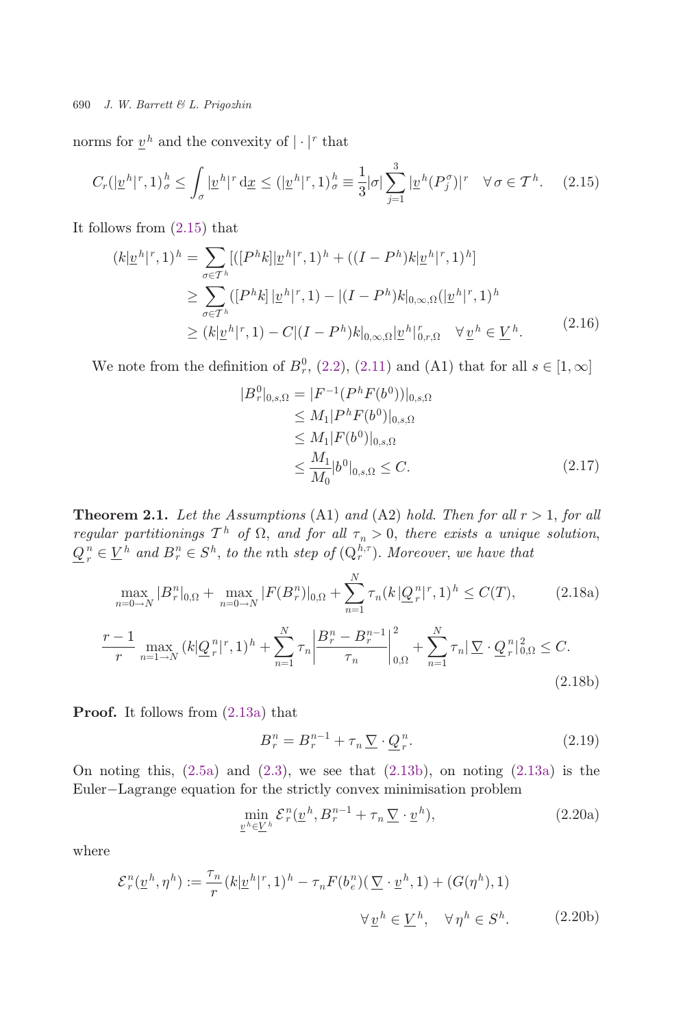<span id="page-11-0"></span>norms for  $v^h$  and the convexity of  $|\cdot|^r$  that

$$
C_r(|\underline{v}^h|^r, 1)^h_\sigma \le \int_\sigma |\underline{v}^h|^r \, \mathrm{d}\underline{x} \le (|\underline{v}^h|^r, 1)^h_\sigma \equiv \frac{1}{3} |\sigma| \sum_{j=1}^3 |\underline{v}^h(P_j^\sigma)|^r \quad \forall \sigma \in \mathcal{T}^h. \tag{2.15}
$$

It follows from (2.15) that

$$
(k|\underline{v}^h|^r, 1)^h = \sum_{\sigma \in T^h} [([P^h k] | \underline{v}^h|^r, 1)^h + ((I - P^h) k | \underline{v}^h|^r, 1)^h]
$$
  
\n
$$
\geq \sum_{\sigma \in T^h} ([P^h k] | \underline{v}^h|^r, 1) - |(I - P^h) k|_{0, \infty, \Omega} (|\underline{v}^h|^r, 1)^h
$$
  
\n
$$
\geq (k|\underline{v}^h|^r, 1) - C |(I - P^h) k|_{0, \infty, \Omega} |\underline{v}^h|_{0, r, \Omega}^r \quad \forall \underline{v}^h \in \underline{V}^h.
$$
\n(2.16)

We note from the definition of  $B_r^0$ , ([2.2](#page-9-0)), [\(2.11\)](#page-10-0) and (A1) that for all  $s \in [1, \infty]$ 

$$
|B_r^0|_{0,s,\Omega} = |F^{-1}(P^h F(b^0))|_{0,s,\Omega}
$$
  
\n
$$
\leq M_1 |P^h F(b^0)|_{0,s,\Omega}
$$
  
\n
$$
\leq M_1 |F(b^0)|_{0,s,\Omega}
$$
  
\n
$$
\leq \frac{M_1}{M_0} |b^0|_{0,s,\Omega} \leq C.
$$
\n(2.17)

**Theorem 2.1.** Let the Assumptions (A1) and (A2) hold. Then for all  $r > 1$ , for all regular partitionings  $T^h$  of  $\Omega$ , and for all  $\tau_n > 0$ , there exists a unique solution,<br> $\underline{Q}_r^n \in \underline{V}^h$  and  $B_r^n \in S^h$ , to the nth step of  $(\underline{Q}_r^{h,\tau})$ . Moreover, we have that

$$
\max_{n=0\to N} |B_r^n|_{0,\Omega} + \max_{n=0\to N} |F(B_r^n)|_{0,\Omega} + \sum_{n=1}^N \tau_n(k|\underline{Q}_r^n|^r, 1)^h \le C(T),
$$
\n(2.18a)  
\n
$$
\frac{r-1}{r} \max_{n=1\to N} (k|\underline{Q}_r^n|^r, 1)^h + \sum_{n=1}^N \tau_n \left|\frac{B_r^n - B_r^{n-1}}{\tau_n}\right|_{0,\Omega}^2 + \sum_{n=1}^N \tau_n |\underline{\nabla} \cdot \underline{Q}_r^n|_{0,\Omega}^2 \le C.
$$
\n(2.18b)

Proof. It follows from ([2.13a](#page-10-0)) that

$$
B_r^n = B_r^{n-1} + \tau_n \underline{\nabla} \cdot \underline{Q}_r^n. \tag{2.19}
$$

On noting this,  $(2.5a)$  $(2.5a)$  and  $(2.3)$  $(2.3)$ , we see that  $(2.13b)$  $(2.13b)$  $(2.13b)$ , on noting  $(2.13a)$  $(2.13a)$  $(2.13a)$  is the Euler-Lagrange equation for the strictly convex minimisation problem

$$
\min_{\underline{v}^h \in \underline{V}^h} \mathcal{E}_r^n(\underline{v}^h, B_r^{n-1} + \tau_n \underline{\nabla} \cdot \underline{v}^h),\tag{2.20a}
$$

where

$$
\mathcal{E}_r^n(\underline{v}^h, \eta^h) := \frac{\tau_n}{r}(k|\underline{v}^h|^r, 1)^h - \tau_n F(b_e^n)(\underline{\nabla} \cdot \underline{v}^h, 1) + (G(\eta^h), 1)
$$

$$
\forall \underline{v}^h \in \underline{V}^h, \quad \forall \eta^h \in S^h.
$$
(2.20b)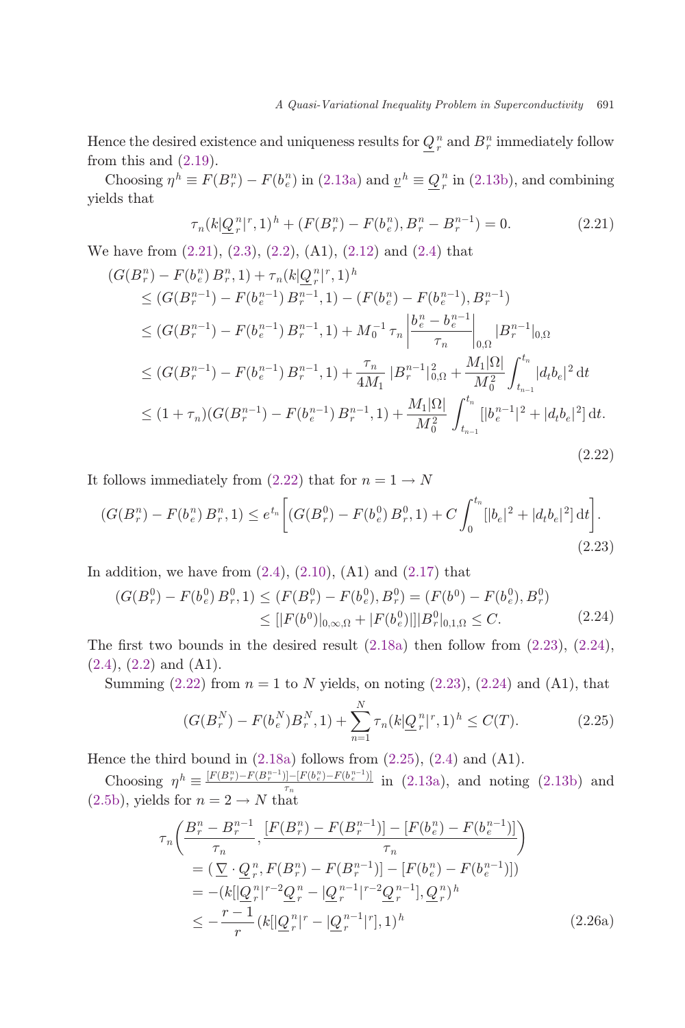<span id="page-12-0"></span>Hence the desired existence and uniqueness results for  $Q_r^n$  and  $B_r^n$  immediately follow from this and  $(2.19)$  $(2.19)$ .

Choosing  $\eta^h \equiv F(B_r^n) - F(b_e^n)$  in [\(2.13a\)](#page-10-0) and  $\underline{v}^h \equiv \underline{Q}_r^n$  in [\(2.13b](#page-10-0)), and combining lds that yields that

$$
\tau_n(k|\underline{Q}^n_r|^r,1)^h + (F(B^n_r) - F(b^n_e),B^n_r - B^{n-1}_r) = 0.
$$
\n(2.21)

We have from (2.21), [\(2.3](#page-9-0)), [\(2.2](#page-9-0)), (A1), ([2.12](#page-10-0)) and ([2.4](#page-9-0)) that

$$
(G(B_r^n) - F(b_e^n) B_r^n, 1) + \tau_n(k|\underline{Q}_r^n|^r, 1)^h
$$
  
\n
$$
\leq (G(B_r^{n-1}) - F(b_e^{n-1}) B_r^{n-1}, 1) - (F(b_e^n) - F(b_e^{n-1}), B_r^{n-1})
$$
  
\n
$$
\leq (G(B_r^{n-1}) - F(b_e^{n-1}) B_r^{n-1}, 1) + M_0^{-1} \tau_n \left| \frac{b_e^n - b_e^{n-1}}{\tau_n} \right|_{0,\Omega} |B_r^{n-1}|_{0,\Omega}
$$
  
\n
$$
\leq (G(B_r^{n-1}) - F(b_e^{n-1}) B_r^{n-1}, 1) + \frac{\tau_n}{4M_1} |B_r^{n-1}|_{0,\Omega}^2 + \frac{M_1|\Omega|}{M_0^2} \int_{t_{n-1}}^{t_n} |d_t b_e|^2 dt
$$
  
\n
$$
\leq (1 + \tau_n)(G(B_r^{n-1}) - F(b_e^{n-1}) B_r^{n-1}, 1) + \frac{M_1|\Omega|}{M_0^2} \int_{t_{n-1}}^{t_n} |b_e^{n-1}|^2 + |d_t b_e|^2 dt
$$
  
\n(2.22)

It follows immediately from [\(2.22\)](#page-11-0) that for  $n = 1 \rightarrow N$ 

$$
(G(Bnr) - F(bne) Bnr, 1) \le etn \left[ (G(B0r) - F(b0e) B0r, 1) + C \int_0^{tn} [|be|2 + |dtbe|2] dt \right].
$$
\n(2.23)

In addition, we have from  $(2.4)$  $(2.4)$  $(2.4)$ ,  $(2.10)$ ,  $(A1)$  and  $(2.17)$  that

$$
(G(B_r^0) - F(b_e^0) B_r^0, 1) \le (F(B_r^0) - F(b_e^0), B_r^0) = (F(b^0) - F(b_e^0), B_r^0)
$$
  
\n
$$
\le [|F(b^0)|_{0,\infty,\Omega} + |F(b_e^0)|] |B_r^0|_{0,1,\Omega} \le C. \tag{2.24}
$$

The first two bounds in the desired result  $(2.18a)$  $(2.18a)$  then follow from  $(2.23)$ ,  $(2.24)$ ,  $(2.4), (2.2)$  $(2.4), (2.2)$  $(2.4), (2.2)$  $(2.4), (2.2)$  and  $(A1)$ .

Summing  $(2.22)$  $(2.22)$  from  $n = 1$  to N yields, on noting  $(2.23)$ ,  $(2.24)$  and  $(A1)$ , that

$$
(G(B_r^N) - F(b_e^N)B_r^N, 1) + \sum_{n=1}^N \tau_n (k |Q_r^n|^r, 1)^h \le C(T). \tag{2.25}
$$

Hence the third bound in  $(2.18a)$  follows from  $(2.25)$ ,  $(2.4)$  $(2.4)$  $(2.4)$  and  $(A1)$ .

Choosing  $\eta^h \equiv \frac{[F(B_r^n) - F(B_r^{n-1})] - [F(b_e^n) - F(b_e^{n-1})]}{\tau_n}$  in [\(2.13a\)](#page-10-0), and noting [\(2.13b](#page-10-0)) and ([2.5b](#page-9-0)), yields for  $n = 2 \rightarrow N$  that

$$
\tau_n\left(\frac{B_r^n - B_r^{n-1}}{\tau_n}, \frac{[F(B_r^n) - F(B_r^{n-1})] - [F(b_e^n) - F(b_e^{n-1})]}{\tau_n}\right)
$$
\n
$$
= (\underbrace{\nabla \cdot \underline{Q}_r^n, F(B_r^n) - F(B_r^{n-1})] - [F(b_e^n) - F(b_e^{n-1})]}_{= - (k[\underbrace{\underline{Q}_r^n \mid r^{-2} \underline{Q}_r^n - [\underline{Q}_r^{n-1} \mid r^{-2} \underline{Q}_r^{n-1}], \underline{Q}_r^n)^h}_{= - r} )
$$
\n
$$
\leq -\frac{r-1}{r} (k[\underbrace{\underline{Q}_r^n \mid r - [\underline{Q}_r^{n-1} \mid r]}, 1)^h
$$
\n(2.26a)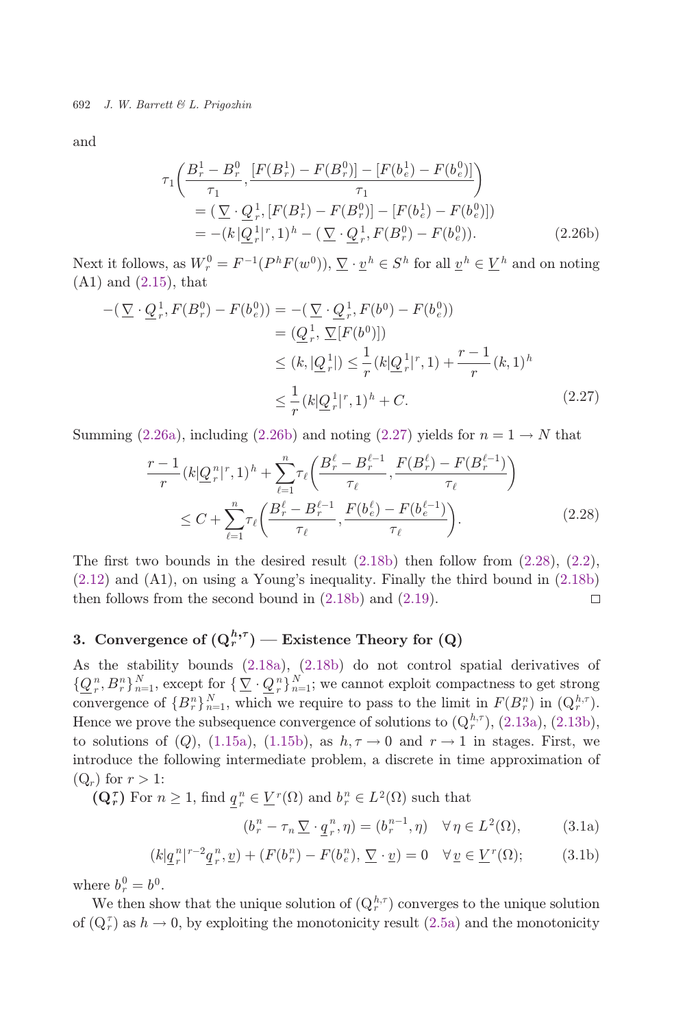<span id="page-13-0"></span>and

$$
\tau_1 \left( \frac{B_r^1 - B_r^0}{\tau_1}, \frac{[F(B_r^1) - F(B_r^0)] - [F(b_e^1) - F(b_e^0)]}{\tau_1} \right)
$$
  
= 
$$
(\nabla \cdot \underline{Q}_r^1, [F(B_r^1) - F(B_r^0)] - [F(b_e^1) - F(b_e^0)])
$$
  
= 
$$
-(k|\underline{Q}_r^1|^r, 1)^h - (\nabla \cdot \underline{Q}_r^1, F(B_r^0) - F(b_e^0)).
$$
 (2.26b)

Next it follows, as  $W_r^0 = F^{-1}(P^h F(w^0)), \nabla \cdot \underline{v}^h \in S^h$  for all  $\underline{v}^h \in \underline{V}^h$  and on noting (A1) and (2.15) that (A1) and [\(2.15\)](#page-11-0), that

$$
-(\nabla \cdot \underline{Q}_r^1, F(B_r^0) - F(b_e^0)) = -(\nabla \cdot \underline{Q}_r^1, F(b^0) - F(b_e^0))
$$
  
\n
$$
= (\underline{Q}_r^1, \nabla [F(b^0)])
$$
  
\n
$$
\leq (k, |\underline{Q}_r^1|) \leq \frac{1}{r} (k|\underline{Q}_r^1|^r, 1) + \frac{r-1}{r} (k, 1)^h
$$
  
\n
$$
\leq \frac{1}{r} (k|\underline{Q}_r^1|^r, 1)^h + C.
$$
 (2.27)

Summing ([2.26a](#page-12-0)), including (2.26b) and noting (2.27) yields for  $n = 1 \rightarrow N$  that

$$
\frac{r-1}{r}(k|\underline{Q}_r^n|^r,1)^h + \sum_{\ell=1}^n \tau_\ell\left(\frac{B_r^{\ell} - B_r^{\ell-1}}{\tau_\ell}, \frac{F(B_r^{\ell}) - F(B_r^{\ell-1})}{\tau_\ell}\right) \le C + \sum_{\ell=1}^n \tau_\ell\left(\frac{B_r^{\ell} - B_r^{\ell-1}}{\tau_\ell}, \frac{F(b_\ell^{\ell}) - F(b_\ell^{\ell-1})}{\tau_\ell}\right).
$$
\n(2.28)

The first two bounds in the desired result  $(2.18b)$  $(2.18b)$  then follow from  $(2.28)$  $(2.28)$  $(2.28)$ ,  $(2.2)$ , ([2.12](#page-10-0)) and (A1), on using a Young's inequality. Finally the third bound in ([2.18b\)](#page-11-0) then follows from the second bound in  $(2.18b)$  $(2.18b)$  and  $(2.19)$  $(2.19)$  $(2.19)$ .  $\Box$ 

# 3. Convergence of  $(Q_r^{h,\tau})$  — Existence Theory for  $(Q)$

As the stability bounds [\(2.18a\)](#page-11-0), [\(2.18b](#page-11-0)) do not control spatial derivatives of  $\{\mathcal{Q}_r^n, B_r^n\}_{n=1}^N$ , except for  $\{\nabla \cdot \mathcal{Q}_r^n\}_{n=1}^N$ ; we cannot exploit compactness to get strong<br>convergence of  $\{B_r^n\}_{n=1}^N$  which we require to pass to the limit in  $F(B_r^n)$  in  $(O^{h,\tau})$ convergence of  ${B_n^n}_{n=1}$ , which we require to pass to the limit in  $F(B_n^n)$  in  $(Q_n^{h,\tau})$ .<br>Hence we prove the subsequence convergence of solutions to  $(O_n^{h,\tau})$ ,  $(2,12s)$ ,  $(2,12s)$ . Hence we prove the subsequence convergence of solutions to  $(Q_r^{h,\tau})$ ,  $(2.13a)$ ,  $(2.13b)$  $(2.13b)$ , to solutions of (Q), [\(1.15a\)](#page-5-0), ([1.15b](#page-5-0)), as  $h, \tau \to 0$  and  $r \to 1$  in stages. First, we introduce the following intermediate problem, a discrete in time approximation of  $(Q_r)$  for  $r > 1$ :

 $(\mathbf{Q}_r^{\tau})$  For  $n \geq 1$ , find  $\underline{q}_r^n \in \underline{V}^r(\Omega)$  and  $b_r^n \in L^2(\Omega)$  such that

$$
(b_r^n - \tau_n \underline{\nabla} \cdot \underline{q}_r^n, \eta) = (b_r^{n-1}, \eta) \quad \forall \eta \in L^2(\Omega), \tag{3.1a}
$$

$$
(k|\underline{q}_r^n|^{r-2}\underline{q}_r^n,\underline{v}) + (F(b_r^n) - F(b_e^n), \underline{\nabla} \cdot \underline{v}) = 0 \quad \forall \underline{v} \in \underline{V}^r(\Omega); \tag{3.1b}
$$

where  $b_r^0 = b^0$ .<br>We then she

We then show that the unique solution of  $(Q_r^{h,\tau})$  converges to the unique solution of  $(Q_r^{\tau})$  as  $h \to 0$ , by exploiting the monotonicity result [\(2.5a\)](#page-9-0) and the monotonicity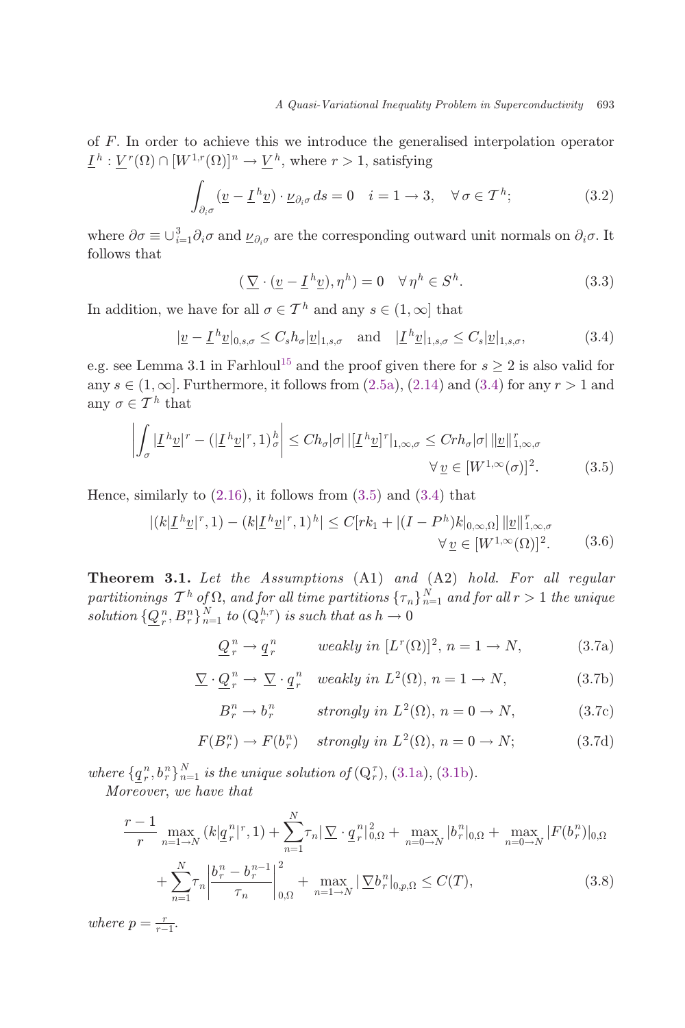<span id="page-14-0"></span>of F. In order to achieve this we introduce the generalised interpolation operator  $\underline{I}^h : V^r(\Omega) \cap [W^{1,r}(\Omega)]^n \to V^h$ , where  $r > 1$ , satisfying

$$
\int_{\partial_i \sigma} (\underline{v} - \underline{I}^h \underline{v}) \cdot \underline{\nu}_{\partial_i \sigma} ds = 0 \quad i = 1 \to 3, \quad \forall \sigma \in \mathcal{T}^h; \tag{3.2}
$$

where  $\partial \sigma \equiv \bigcup_{i=1}^3 \partial_i \sigma$  and  $\underline{\nu}_{\partial_i \sigma}$  are the corresponding outward unit normals on  $\partial_i \sigma$ . It follows that follows that

$$
\left(\underline{\nabla}\cdot(\underline{v}-\underline{I}^h\underline{v}),\eta^h\right)=0 \quad \forall \,\eta^h \in S^h. \tag{3.3}
$$

In addition, we have for all  $\sigma \in \mathcal{T}^h$  and any  $s \in (1, \infty]$  that

$$
|\underline{v} - \underline{L}^h \underline{v}|_{0,s,\sigma} \le C_s h_\sigma |\underline{v}|_{1,s,\sigma} \quad \text{and} \quad |\underline{L}^h \underline{v}|_{1,s,\sigma} \le C_s |\underline{v}|_{1,s,\sigma},\tag{3.4}
$$

e.g. see Lemma 3.1 in Farhloul<sup>[15](#page-26-0)</sup> and the proof given there for  $s \geq 2$  is also valid for any  $s \in (1, \infty]$ . Furthermore, it follows from  $(2.5a)$  $(2.5a)$  $(2.5a)$ ,  $(2.14)$  and  $(3.4)$  for any  $r > 1$  and any  $\sigma \in \mathcal{T}^h$  that

$$
\left| \int_{\sigma} \left| \underline{L}^{h} \underline{v} \right|^{r} - \left( \left| \underline{L}^{h} \underline{v} \right|^{r}, 1 \right)_{\sigma}^{h} \right| \leq Ch_{\sigma} |\sigma| \left| \left[ \underline{L}^{h} \underline{v} \right]^{r} \right|_{1, \infty, \sigma} \leq C rh_{\sigma} |\sigma| \left| \underline{v} \right|_{1, \infty, \sigma}^{r}
$$
  

$$
\forall \underline{v} \in [W^{1, \infty}(\sigma)]^{2}.
$$
 (3.5)

Hence, similarly to  $(2.16)$  $(2.16)$  $(2.16)$ , it follows from  $(3.5)$  and  $(3.4)$  that

$$
|(k|\underline{I}^h \underline{v}|^r, 1) - (k|\underline{I}^h \underline{v}|^r, 1)^h| \le C[rk_1 + |(I - P^h)k|_{0,\infty,\Omega}] \|\underline{v}\|_{1,\infty,\sigma}^r
$$
  

$$
\forall \underline{v} \in [W^{1,\infty}(\Omega)]^2.
$$
 (3.6)

Theorem 3.1. Let the Assumptions (A1) and (A2) hold. For all regular partitionings  $T^h$  of  $\Omega$ , and for all time partitions  $\{\tau_n\}_{n=1}^N$  and for all  $r > 1$  the unique<br>colution  $\{\Omega^n$ ,  $B^n\}$ <sup>N</sup> to  $(\Omega^{h,\tau})$  is easeb that as by  $\Omega$ solution  $\{Q_r^n, B_r^n\}_{n=1}^N$  to  $(Q_r^{h,\tau})$  is such that as  $h \to 0$ 

$$
\underline{Q}^n_r \to \underline{q}^n_r \qquad weakly in [L^r(\Omega)]^2, n = 1 \to N,
$$
 (3.7a)

$$
\underline{\nabla} \cdot \underline{Q}_r^n \to \underline{\nabla} \cdot \underline{q}_r^n \quad weakly \text{ in } L^2(\Omega), n = 1 \to N,
$$
 (3.7b)

$$
B_r^n \to b_r^n \qquad strongly \ in \ L^2(\Omega), \ n = 0 \to N, \tag{3.7c}
$$

$$
F(B_r^n) \to F(b_r^n) \quad strongly \ in \ L^2(\Omega), \ n = 0 \to N; \tag{3.7d}
$$

where  $\{q_n^n, b_n^n\}_{n=1}^N$  is the unique solution of  $(Q_n^{\tau})$ , [\(3.1a](#page-13-0)), [\(3.1b](#page-13-0)).<br>Moreover, we have that

Moreover, we have that

$$
\frac{r-1}{r} \max_{n=1 \to N} (k | \underline{q}_r^n |^r, 1) + \sum_{n=1}^N \tau_n | \underline{\nabla} \cdot \underline{q}_r^n |^2_{0,\Omega} + \max_{n=0 \to N} |b_r^n|_{0,\Omega} + \max_{n=0 \to N} |F(b_r^n)|_{0,\Omega} \n+ \sum_{n=1}^N \tau_n \left| \frac{b_r^n - b_r^{n-1}}{\tau_n} \right|_{0,\Omega}^2 + \max_{n=1 \to N} |\underline{\nabla} b_r^n|_{0,p,\Omega} \le C(T),
$$
\n(3.8)

where  $p = \frac{r}{r-1}$ .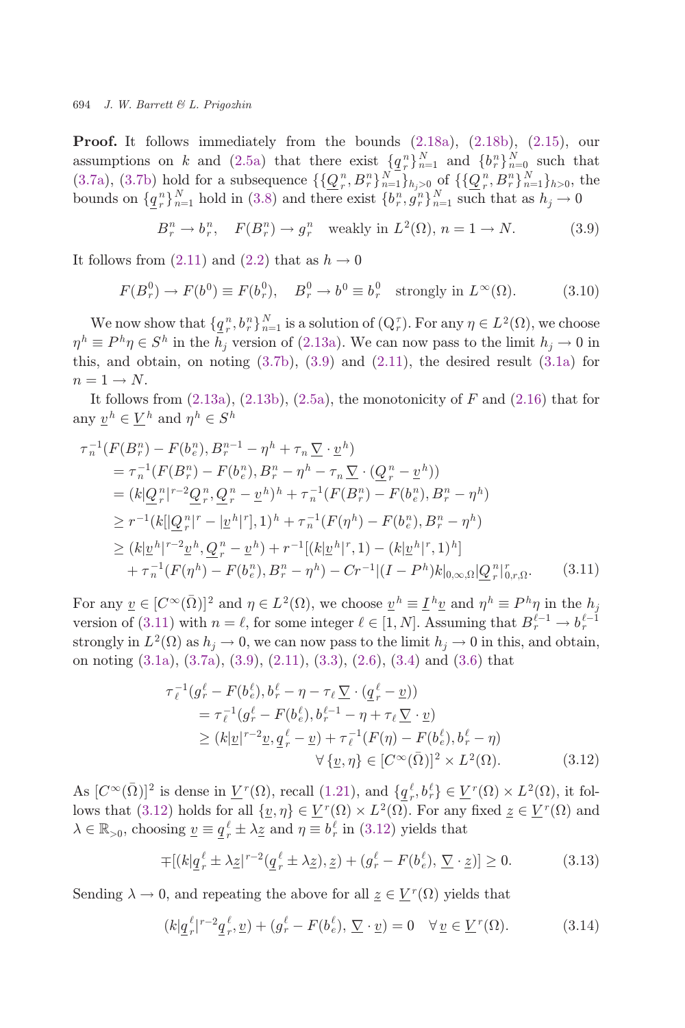<span id="page-15-0"></span>**Proof.** It follows immediately from the bounds  $(2.18a)$ ,  $(2.18b)$  $(2.18b)$  $(2.18b)$ ,  $(2.15)$  $(2.15)$ , our assumptions on k and [\(2.5a](#page-9-0)) that there exist  $\{q_n^n\}_{n=1}^N$  and  $\{b_n^n\}_{n=0}^N$  such that ([3.7a](#page-14-0)), [\(3.7b\)](#page-14-0) hold for a subsequence  $\{\mathcal{Q}_r^n, B_r^n\}_{n=1}^N\}_{h_j>0}$  of  $\{\mathcal{Q}_r^n, B_r^n\}_{n=1}^N\}_{h>0}$ , the bounds on  $\{a_n\}_{N}^N$  hold in (3.8) and there exist  $\{b_n\}_{n=1}^N$  and  $N$  such that as  $b \to 0$ bounds on  $\{q_r^n\}_{n=1}^N$  hold in [\(3.8\)](#page-14-0) and there exist  $\{b_r^n, g_r^n\}_{n=1}^N$  such that as  $h_j \to 0$ 

$$
B_r^n \to b_r^n, \quad F(B_r^n) \to g_r^n \quad \text{weakly in } L^2(\Omega), \, n = 1 \to N. \tag{3.9}
$$

It follows from  $(2.11)$  and  $(2.2)$  $(2.2)$  that as  $h \to 0$ 

$$
F(B_r^0) \to F(b^0) \equiv F(b_r^0), \quad B_r^0 \to b^0 \equiv b_r^0 \quad \text{strongly in } L^\infty(\Omega). \tag{3.10}
$$

We now show that  $\{q_i^n, b_i^n\}_{n=1}^N$  is a solution of  $(Q_i^{\tau})$ . For any  $\eta \in L^2(\Omega)$ , we choose<br> $= P^h n \in S^h$  in the *b*, version of (2.13a). We can now pass to the limit  $b \to 0$  in  $\eta^h \equiv P^h \eta \in S^h$  in the  $h_j$  version of ([2.13a\)](#page-10-0). We can now pass to the limit  $h_j \to 0$  in<br>this and obtain on noting (2.7b) (3.0) and (2.11) the desired result (3.1a) for this, and obtain, on noting  $(3.7b)$  $(3.7b)$ ,  $(3.9)$  and  $(2.11)$  $(2.11)$  $(2.11)$ , the desired result  $(3.1a)$  $(3.1a)$  for  $n = 1 \rightarrow N$ .

It follows from  $(2.13a)$  $(2.13a)$ ,  $(2.13b)$  $(2.13b)$ ,  $(2.5a)$ , the monotonicity of F and  $(2.16)$  that for any  $\underline{v}^h \in \underline{V}^h$  and  $\eta^h \in S^h$ 

$$
\tau_{n}^{-1}(F(B_{r}^{n}) - F(b_{e}^{n}), B_{r}^{n-1} - \eta^{h} + \tau_{n} \underline{\nabla} \cdot \underline{v}^{h})
$$
\n
$$
= \tau_{n}^{-1}(F(B_{r}^{n}) - F(b_{e}^{n}), B_{r}^{n} - \eta^{h} - \tau_{n} \underline{\nabla} \cdot (\underline{Q}_{r}^{n} - \underline{v}^{h}))
$$
\n
$$
= (k[\underline{Q}_{r}^{n}|^{r-2}\underline{Q}_{r}^{n}, \underline{Q}_{r}^{n} - \underline{v}^{h})^{h} + \tau_{n}^{-1}(F(B_{r}^{n}) - F(b_{e}^{n}), B_{r}^{n} - \eta^{h})
$$
\n
$$
\geq r^{-1}(k[[\underline{Q}_{r}^{n}|^{r} - |\underline{v}^{h}|^{r}], 1)^{h} + \tau_{n}^{-1}(F(\eta^{h}) - F(b_{e}^{n}), B_{r}^{n} - \eta^{h})
$$
\n
$$
\geq (k[\underline{v}^{h}|^{r-2}\underline{v}^{h}, \underline{Q}_{r}^{n} - \underline{v}^{h}) + r^{-1}[(k[\underline{v}^{h}|^{r}, 1) - (k[\underline{v}^{h}|^{r}, 1)^{h}] + \tau_{n}^{-1}(F(\eta^{h}) - F(b_{e}^{n}), B_{r}^{n} - \eta^{h}) - Cr^{-1}[(I - P^{h})k]_{0,\infty,\Omega}|\underline{Q}_{r}^{n}|_{0,\infty,\Omega}^{r}.
$$
\n(3.11)

For any  $\underline{v} \in [C^{\infty}(\overline{\Omega})]^2$  and  $\eta \in L^2(\Omega)$ , we choose  $\underline{v}^h \equiv \underline{I}^h \underline{v}$  and  $\eta^h \equiv P^h \eta$  in the  $h_j$ <br>version of (2.11) with  $\eta = \ell$  for some integer  $\ell \in [1, N]$ . Assuming that  $B^{\ell-1}$ ,  $h^{\ell-1}$ version of (3.11) with  $n = \ell$ , for some integer  $\ell \in [1, N]$ . Assuming that  $B_r^{\ell-1} \to b_r^{\ell-1}$ strongly in  $L^2(\Omega)$  as  $h_i \to 0$ , we can now pass to the limit  $h_i \to 0$  in this, and obtain, on noting [\(3.1a\)](#page-13-0), [\(3.7a](#page-14-0)), (3.9), ([2.11\)](#page-10-0), [\(3.3\)](#page-14-0), [\(2.6](#page-9-0)), ([3.4](#page-14-0)) and [\(3.6](#page-14-0)) that

$$
\tau_{\ell}^{-1}(g_r^{\ell} - F(b_{\epsilon}^{\ell}), b_r^{\ell} - \eta - \tau_{\ell} \underline{\nabla} \cdot (\underline{q}_r^{\ell} - \underline{v}))
$$
\n
$$
= \tau_{\ell}^{-1}(g_r^{\ell} - F(b_{\epsilon}^{\ell}), b_r^{\ell-1} - \eta + \tau_{\ell} \underline{\nabla} \cdot \underline{v})
$$
\n
$$
\geq (k|\underline{v}|^{r-2}\underline{v}, \underline{q}_r^{\ell} - \underline{v}) + \tau_{\ell}^{-1}(F(\eta) - F(b_{\epsilon}^{\ell}), b_r^{\ell} - \eta)
$$
\n
$$
\forall {\underline{v}, \eta} \in [C^{\infty}(\bar{\Omega})]^2 \times L^2(\Omega).
$$
\n(3.12)

As  $[C^{\infty}(\bar{\Omega})]^2$  is dense in  $\underline{V}^r(\Omega)$ , recall ([1.21](#page-8-0)), and  $\{q^{\ell}, b^{\ell}\}\in \underline{V}^r(\Omega)\times L^2(\Omega)$ , it fol-<br>lower that (2.12) holds for all  $\{v, v\}\in V^r(\Omega)\times L^2(\Omega)$ . For any fixed  $z\in V^r(\Omega)$  and lows that (3.12) holds for all  $\{y, \eta\} \in \underline{V}^r(\Omega) \times L^2(\Omega)$ . For any fixed  $z \in \underline{V}^r(\Omega)$  and  $\lambda \in \mathbb{R}_{>0}$ , choosing  $\underline{v} \equiv \underline{q}_r^{\ell} \pm \lambda \underline{z}$  and  $\eta \equiv b_r^{\ell}$  in (3.12) yields that

$$
\mp [(k] \underline{q}_r^{\ell} \pm \lambda \underline{z}]^{r-2} (\underline{q}_r^{\ell} \pm \lambda \underline{z}), \underline{z}) + (g_r^{\ell} - F(b_\epsilon^{\ell}), \underline{\nabla} \cdot \underline{z})] \ge 0. \tag{3.13}
$$

Sending  $\lambda \to 0$ , and repeating the above for all  $\underline{z} \in \underline{V}^r(\Omega)$  yields that

$$
(k|\underline{q}_r^{\ell}|^{r-2}\underline{q}_r^{\ell},\underline{v}) + (g_r^{\ell} - F(b_e^{\ell}), \underline{\nabla} \cdot \underline{v}) = 0 \quad \forall \underline{v} \in \underline{V}^r(\Omega). \tag{3.14}
$$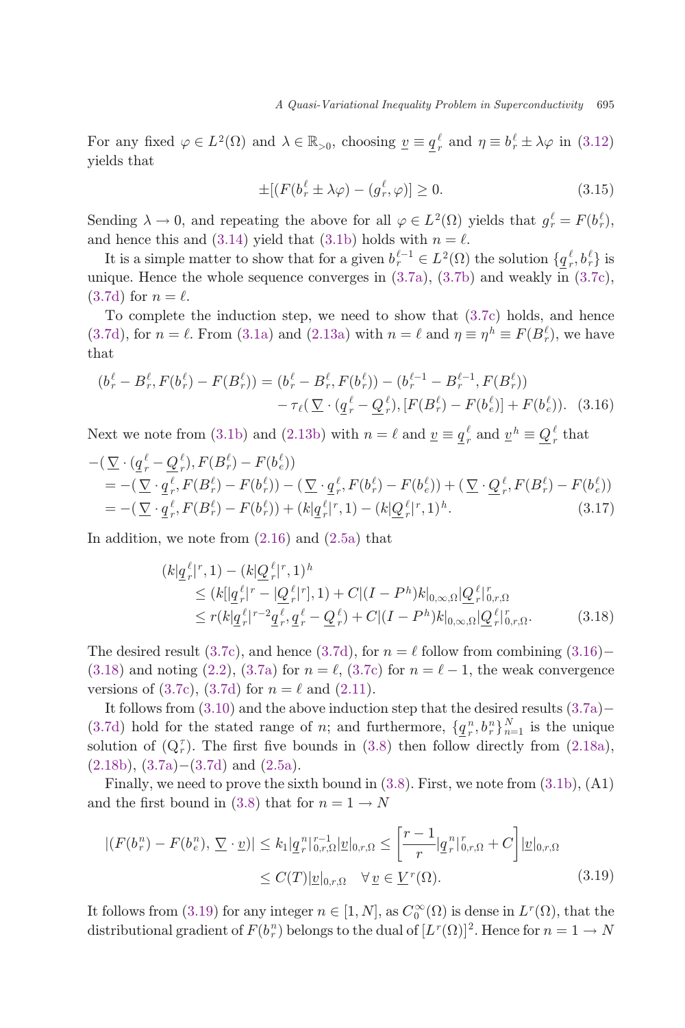For any fixed  $\varphi \in L^2(\Omega)$  and  $\lambda \in \mathbb{R}_{>0}$ , choosing  $\underline{v} \equiv \underline{q}_r^{\ell}$  and  $\eta \equiv b_r^{\ell} \pm \lambda \varphi$  in [\(3.12](#page-15-0)) yields that

$$
\pm[(F(b_r^{\ell} \pm \lambda \varphi) - (g_r^{\ell}, \varphi)] \ge 0. \tag{3.15}
$$

Sending  $\lambda \to 0$ , and repeating the above for all  $\varphi \in L^2(\Omega)$  yields that  $g_r^{\ell} = F(b_r^{\ell})$ , and hence this and [\(3.14](#page-15-0)) yield that [\(3.1b](#page-13-0)) holds with  $n = \ell$ .

It is a simple matter to show that for a given  $b_i^{l-1} \in L^2(\Omega)$  the solution  $\{q_i^{\ell}, b_i^{\ell}\}\$  is<br>igno. Hence the whole sequence converges in  $(2.78)$ ,  $(2.75)$  and weakly in  $(2.79)$ . unique. Hence the whole sequence converges in [\(3.7a\)](#page-14-0), ([3.7b](#page-14-0)) and weakly in [\(3.7c](#page-14-0)),  $(3.7d)$  $(3.7d)$  $(3.7d)$  for  $n = \ell$ .

To complete the induction step, we need to show that [\(3.7c](#page-14-0)) holds, and hence ([3.7d](#page-14-0)), for  $n = \ell$ . From ([3.1a](#page-13-0)) and [\(2.13a\)](#page-10-0) with  $n = \ell$  and  $\eta \equiv \eta^h \equiv F(B_r^{\ell})$ , we have that

$$
(b_r^{\ell} - B_r^{\ell}, F(b_r^{\ell}) - F(B_r^{\ell})) = (b_r^{\ell} - B_r^{\ell}, F(b_r^{\ell})) - (b_r^{\ell-1} - B_r^{\ell-1}, F(B_r^{\ell})) - \tau_{\ell} (\underline{\nabla} \cdot (\underline{q}_r^{\ell} - \underline{Q}_r^{\ell}), [F(B_r^{\ell}) - F(b_e^{\ell})] + F(b_e^{\ell})).
$$
 (3.16)

Next we note from ([3.1b\)](#page-13-0) and [\(2.13b](#page-10-0)) with  $n = \ell$  and  $\underline{v} \equiv \underline{q}_r^{\ell}$  and  $\underline{v}^h \equiv \underline{Q}_r^{\ell}$  that

$$
-(\nabla \cdot (\underline{q}_r^{\ell} - \underline{Q}_r^{\ell}), F(B_r^{\ell}) - F(b_\epsilon^{\ell}))
$$
  
= -(\nabla \cdot \underline{q}\_r^{\ell}, F(B\_r^{\ell}) - F(b\_r^{\ell})) - (\nabla \cdot \underline{q}\_r^{\ell}, F(b\_r^{\ell}) - F(b\_\epsilon^{\ell})) + (\nabla \cdot \underline{Q}\_r^{\ell}, F(B\_r^{\ell}) - F(b\_\epsilon^{\ell}))  
= -(\nabla \cdot \underline{q}\_r^{\ell}, F(B\_r^{\ell}) - F(b\_r^{\ell})) + (k|\underline{q}\_r^{\ell}|^r, 1) - (k|\underline{Q}\_r^{\ell}|^r, 1)^h. (3.17)

In addition, we note from [\(2.16](#page-11-0)) and [\(2.5a](#page-9-0)) that

$$
(k|\underline{q}_r^{\ell}|^r, 1) - (k|\underline{Q}_r^{\ell}|^r, 1)^h
$$
  
\n
$$
\leq (k|[\underline{q}_r^{\ell}|^r - |\underline{Q}_r^{\ell}|^r], 1) + C|(I - P^h)k|_{0,\infty,\Omega}|\underline{Q}_r^{\ell}|^r_{0,r,\Omega}
$$
  
\n
$$
\leq r(k|\underline{q}_r^{\ell}|^{r-2}\underline{q}_r^{\ell}, \underline{q}_r^{\ell} - \underline{Q}_r^{\ell}) + C|(I - P^h)k|_{0,\infty,\Omega}|\underline{Q}_r^{\ell}|^r_{0,r,\Omega}. \qquad (3.18)
$$

The desired result [\(3.7c\)](#page-14-0), and hence ([3.7d](#page-14-0)), for  $n = \ell$  follow from combining (3.16)-(3.18) and noting [\(2.2\)](#page-9-0), [\(3.7a](#page-14-0)) for  $n = \ell$ , [\(3.7c](#page-14-0)) for  $n = \ell - 1$ , the weak convergence versions of [\(3.7c](#page-14-0)), [\(3.7d](#page-14-0)) for  $n = \ell$  and ([2.11](#page-10-0)).

It follows from  $(3.10)$  $(3.10)$  and the above induction step that the desired results  $(3.7a)$  $(3.7a)$  $(3.7a)$ ([3.7d](#page-14-0)) hold for the stated range of *n*; and furthermore,  $\{q^n_i, b^n_i\}_{n=1}^N$  is the unique<br>solution of  $(O^{\tau})$ . The first five bounds in  $(2, 8)$  then follow directly from  $(2, 188)$ . solution of  $(Q<sub>r</sub><sup>\tau</sup>)$ . The first five bounds in [\(3.8](#page-14-0)) then follow directly from ([2.18a](#page-11-0)),  $(2.18b), (3.7a)-(3.7d)$  $(2.18b), (3.7a)-(3.7d)$  $(2.18b), (3.7a)-(3.7d)$  $(2.18b), (3.7a)-(3.7d)$  $(2.18b), (3.7a)-(3.7d)$  $(2.18b), (3.7a)-(3.7d)$  and  $(2.5a).$  $(2.5a).$  $(2.5a).$ 

Finally, we need to prove the sixth bound in [\(3.8\)](#page-14-0). First, we note from [\(3.1b\)](#page-13-0), (A1) and the first bound in ([3.8](#page-14-0)) that for  $n = 1 \rightarrow N$ 

$$
|(F(b_r^n) - F(b_e^n), \underline{\nabla} \cdot \underline{v})| \le k_1 |\underline{q}_r^n|_{0,r,\Omega}^{r-1} |\underline{v}|_{0,r,\Omega} \le \left[\frac{r-1}{r} |\underline{q}_r^n|_{0,r,\Omega}^{r-1} + C\right] |\underline{v}|_{0,r,\Omega}
$$
  

$$
\le C(T) |\underline{v}|_{0,r,\Omega} \quad \forall \underline{v} \in \underline{V}^r(\Omega). \tag{3.19}
$$

It follows from (3.19) for any integer  $n \in [1, N]$ , as  $C_0^{\infty}(\Omega)$  is dense in  $L^r(\Omega)$ , that the distributional gradient of  $E(k^n)$  belong to the dual of  $[I^r(\Omega)]^2$ . Hence for  $n-1 \to N$ distributional gradient of  $F(b_r^n)$  belongs to the dual of  $[L^r(\Omega)]^2$ . Hence for  $n = 1 \rightarrow N$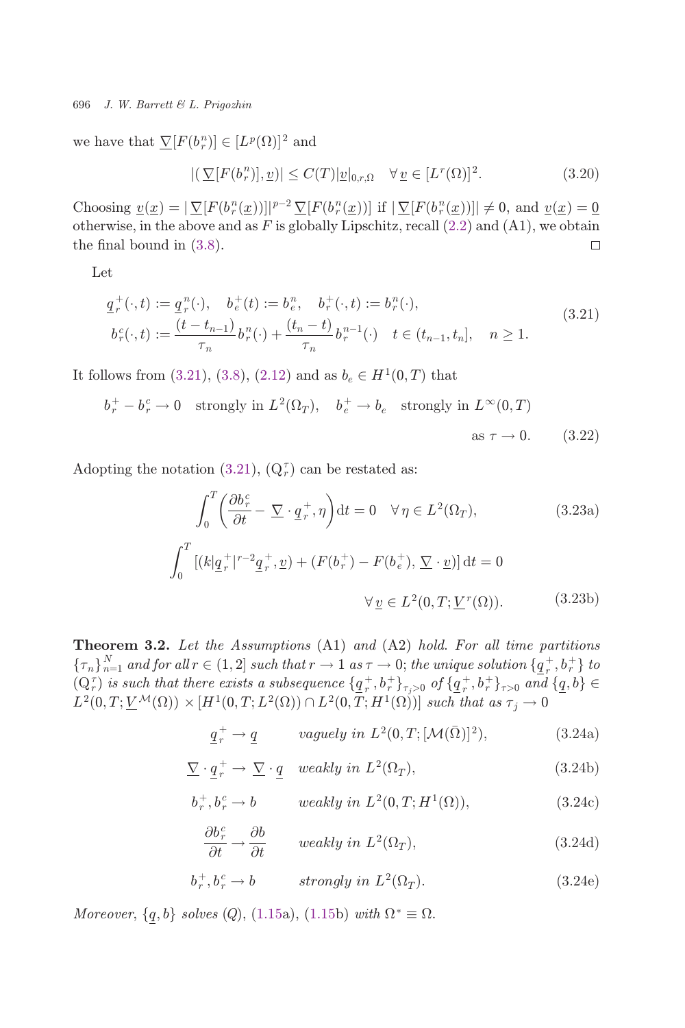<span id="page-17-0"></span>we have that  $\mathcal{Y}[F(b_r^n)] \in [L^p(\Omega)]^2$  and

$$
|(\underline{\nabla}[F(b_r^n)], \underline{v})| \le C(T)|\underline{v}|_{0,r,\Omega} \quad \forall \underline{v} \in [L^r(\Omega)]^2.
$$
 (3.20)

Choosing  $\underline{v}(\underline{x}) = |\nabla [F(b^n_i(\underline{x}))]|^{p-2} \nabla [F(b^n_i(\underline{x}))]$  if  $|\nabla [F(b^n_i(\underline{x}))]| \neq 0$ , and  $\underline{v}(\underline{x}) = \underline{0}$ <br>otherwise in the above and as *F* is globally Linschitz, recall (2.2) and (A1), we obtain otherwise, in the above and as  $F$  is globally Lipschitz, recall  $(2.2)$  $(2.2)$  and  $(A1)$ , we obtain the final bound in  $(3.8)$ .  $\Box$ 

Let

$$
\underline{q}^+_{r}(\cdot,t) := \underline{q}^n_{r}(\cdot), \quad b^+_{e}(t) := b^n_{e}, \quad b^+_{r}(\cdot,t) := b^n_{r}(\cdot), \n b^n_{r}(\cdot,t) := \frac{(t - t_{n-1})}{\tau_n} b^n_{r}(\cdot) + \frac{(t_n - t)}{\tau_n} b^{n-1}_{r}(\cdot) \quad t \in (t_{n-1}, t_n], \quad n \ge 1.
$$
\n(3.21)

It follows from (3.21), [\(3.8](#page-14-0)), ([2.12](#page-10-0)) and as  $b_e \in H^1(0,T)$  that

$$
b_r^+ - b_r^c \to 0
$$
 strongly in  $L^2(\Omega_T)$ ,  $b_e^+ \to b_e$  strongly in  $L^{\infty}(0,T)$ 

as  $\tau \rightarrow 0.$  (3.22)

Adopting the notation (3.21),  $(Q_r^{\tau})$  can be restated as:

$$
\int_0^T \left(\frac{\partial b_r^c}{\partial t} - \nabla \cdot \underline{q}_r^+, \eta\right) dt = 0 \quad \forall \eta \in L^2(\Omega_T),\tag{3.23a}
$$

$$
\int_0^{\pi} \left[ (k|q_r^+|^{r-2}q_r^+, \underline{v}) + (F(b_r^+) - F(b_e^+), \underline{\nabla} \cdot \underline{v}) \right] dt = 0
$$
  

$$
\forall \underline{v} \in L^2(0, T; \underline{V}^r(\Omega)). \tag{3.23b}
$$

**Theorem 3.2.** Let the Assumptions  $(A1)$  and  $(A2)$  hold. For all time partitions  $\{\tau_n\}_{n=1}^N$  and for all  $r \in (1,2]$  such that  $r \to 1$  as  $\tau \to 0$ ; the unique solution  $\{q^+_r, b^+_r\}$  to  $(0.7)$  is each that there exists a subsequence  $\{a^+ + b^+\}$  of  $\{a^+ + b^+\}$  and  $\{a, b\}$  $(Q_r^{\tau})$  is such that there exists a subsequence  $\{q^+_{r}, b^+_{r}\}_{\tau>0}$  of  $\{q^+_{r}, b^+_{r}\}_{\tau>0}$  and  $\{q, b\} \in$ <br> $L^2(0, T: VM(O)) \times [H^1(0, T: L^2(O)) \cap L^2(0, T: HI(O))]$  and that as  $\tau \to 0$ .  $L^2(0,T; \underline{V}^{\mathcal{M}}(\Omega)) \times [H^1(0,T; L^2(\Omega)) \cap L^2(0,T; H^1(\Omega))]$  such that as  $\tau_j \to 0$ 

$$
\underline{q}_r^+ \to \underline{q} \qquad \text{vaguely in } L^2(0, T; [\mathcal{M}(\bar{\Omega})]^2), \tag{3.24a}
$$

$$
\underline{\nabla} \cdot \underline{q}_r^+ \to \underline{\nabla} \cdot \underline{q} \quad weakly \ in \ L^2(\Omega_T), \tag{3.24b}
$$

$$
b_r^+, b_r^c \to b \qquad weakly in L^2(0, T; H^1(\Omega)), \qquad (3.24c)
$$

$$
\frac{\partial b_r^c}{\partial t} \to \frac{\partial b}{\partial t} \qquad weakly in \ L^2(\Omega_T), \tag{3.24d}
$$

$$
b_r^+, b_r^c \to b \qquad \text{strongly in } L^2(\Omega_T). \tag{3.24e}
$$

Moreover,  $\{q, b\}$  solves  $(Q)$ , [\(1.15a](#page-5-0)), ([1.15](#page-5-0)b) with  $\Omega^* \equiv \Omega$ .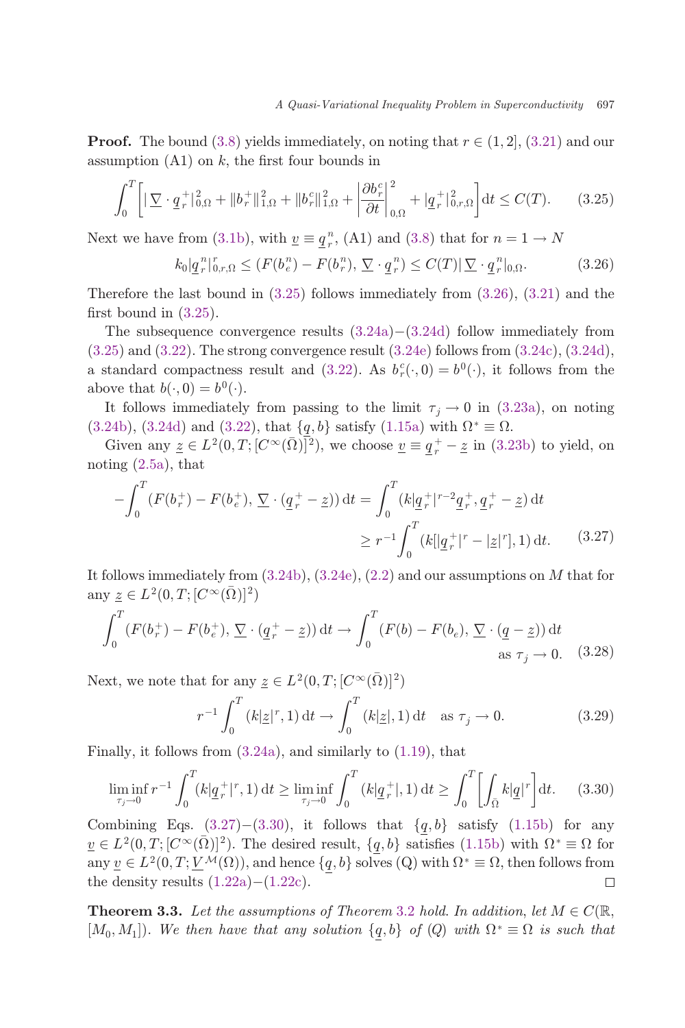**Proof.** The bound [\(3.8](#page-14-0)) yields immediately, on noting that  $r \in (1, 2]$ , ([3.21](#page-17-0)) and our assumption  $(A1)$  on k, the first four bounds in

$$
\int_0^T \left[ \left| \nabla \cdot \underline{q}_r^+ \right|_{0,\Omega}^2 + \left\| b_r^+ \right\|_{1,\Omega}^2 + \left\| b_r^c \right\|_{1,\Omega}^2 + \left| \frac{\partial b_r^c}{\partial t} \right|_{0,\Omega}^2 + \left| \underline{q}_r^+ \right|_{0,r,\Omega}^2 \right] dt \le C(T). \tag{3.25}
$$

Next we have from [\(3.1b](#page-13-0)), with  $\underline{v} \equiv \underline{q}^n_r$ , (A1) and [\(3.8](#page-14-0)) that for  $n = 1 \rightarrow N$ 

$$
k_0 | \underline{q}_r^n |_{0,r,\Omega}^r \le (F(b_e^n) - F(b_r^n), \underline{\nabla} \cdot \underline{q}_r^n) \le C(T) |\underline{\nabla} \cdot \underline{q}_r^n |_{0,\Omega}.
$$
 (3.26)

Therefore the last bound in  $(3.25)$  follows immediately from  $(3.26)$ ,  $(3.21)$  $(3.21)$  and the first bound in  $(3.25)$ .

The subsequence convergence results  $(3.24a)-(3.24d)$  $(3.24a)-(3.24d)$  $(3.24a)-(3.24d)$  $(3.24a)-(3.24d)$  $(3.24a)-(3.24d)$  follow immediately from  $(3.25)$  and  $(3.22)$  $(3.22)$  $(3.22)$ . The strong convergence result  $(3.24e)$  $(3.24e)$  follows from  $(3.24c)$  $(3.24c)$ ,  $(3.24d)$  $(3.24d)$ , a standard compactness result and [\(3.22](#page-17-0)). As  $b_r^c(\cdot, 0) = b^0(\cdot)$ , it follows from the shows that  $b(-0) = b^0(\cdot)$ above that  $b(\cdot, 0) = b^0(\cdot)$ .

It follows immediately from passing to the limit  $\tau_i \to 0$  in [\(3.23a](#page-17-0)), on noting ([3.24b\)](#page-17-0), [\(3.24d\)](#page-17-0) and ([3.22](#page-17-0)), that  $\{q, b\}$  satisfy ([1.15a](#page-5-0)) with  $\Omega^* \equiv \Omega$ .

Given any  $\underline{z} \in L^2(0,T; [C^\infty(\overline{\Omega})]^2)$ , we choose  $\underline{v} \equiv \underline{q}_r^+ - \underline{z}$  in [\(3.23b](#page-17-0)) to yield, on noting [\(2.5a](#page-9-0)), that

$$
-\int_0^T (F(b_r^+) - F(b_e^+), \nabla \cdot (\underline{q}_r^+ - \underline{z})) dt = \int_0^T (k|\underline{q}_r^+|^{r-2}\underline{q}_r^+, \underline{q}_r^+ - \underline{z}) dt
$$
  

$$
\geq r^{-1} \int_0^T (k|\underline{q}_r^+|^{r-2} - \underline{z}|^{r}), 1) dt. \tag{3.27}
$$

It follows immediately from  $(3.24b)$ ,  $(3.24e)$  $(3.24e)$ ,  $(2.2)$  and our assumptions on M that for any  $\underline{z} \in L^2(0,T; [C^{\infty}(\overline{\Omega})]^2)$ 

$$
\int_0^T (F(b_r^+) - F(b_e^+), \underline{\nabla} \cdot (\underline{q}_r^+ - \underline{z})) dt \to \int_0^T (F(b) - F(b_e), \underline{\nabla} \cdot (\underline{q} - \underline{z})) dt
$$
  
as  $\tau_j \to 0$ . (3.28)

Next, we note that for any  $\underline{z} \in L^2(0,T; [C^\infty(\overline{\Omega})]^2)$ 

$$
r^{-1} \int_0^T (k|\underline{z}|^r, 1) dt \to \int_0^T (k|\underline{z}|, 1) dt \text{ as } \tau_j \to 0.
$$
 (3.29)

Finally, it follows from [\(3.24a](#page-17-0)), and similarly to [\(1.19\)](#page-7-0), that

$$
\liminf_{\tau_j \to 0} r^{-1} \int_0^T (k | \underline{q}_r^+ |^r, 1) dt \ge \liminf_{\tau_j \to 0} \int_0^T (k | \underline{q}_r^+ |, 1) dt \ge \int_0^T \left[ \int_{\bar{\Omega}} k | \underline{q} |^r \right] dt. \tag{3.30}
$$

Combining Eqs. (3.27)–(3.30), it follows that  $\{q, b\}$  satisfy [\(1.15b\)](#page-5-0) for any  $v \in L^2(0,T;[C^\infty(\bar{\Omega})]^2)$ . The desired result,  $\{q,b\}$  satisfies [\(1.15b](#page-5-0)) with  $\Omega^* \equiv \Omega$  for any  $\underline{v} \in L^2(0, T; \underline{V}^{\mathcal{M}}(\Omega))$ , and hence  $\{\underline{q}, b\}$  solves  $(Q)$  with  $\Omega^* \equiv \Omega$ , then follows from the density results  $(1.22a) - (1.22c)$ . the density results  $(1.22a)-(1.22c)$  $(1.22a)-(1.22c)$  $(1.22a)-(1.22c)$  $(1.22a)-(1.22c)$ .

**Theorem 3.3.** Let the assumptions of Theorem [3.2](#page-17-0) hold. In addition, let  $M \in C(\mathbb{R})$ ,  $[M_0, M_1]$ . We then have that any solution  $\{q, b\}$  of  $(Q)$  with  $\Omega^* \equiv \Omega$  is such that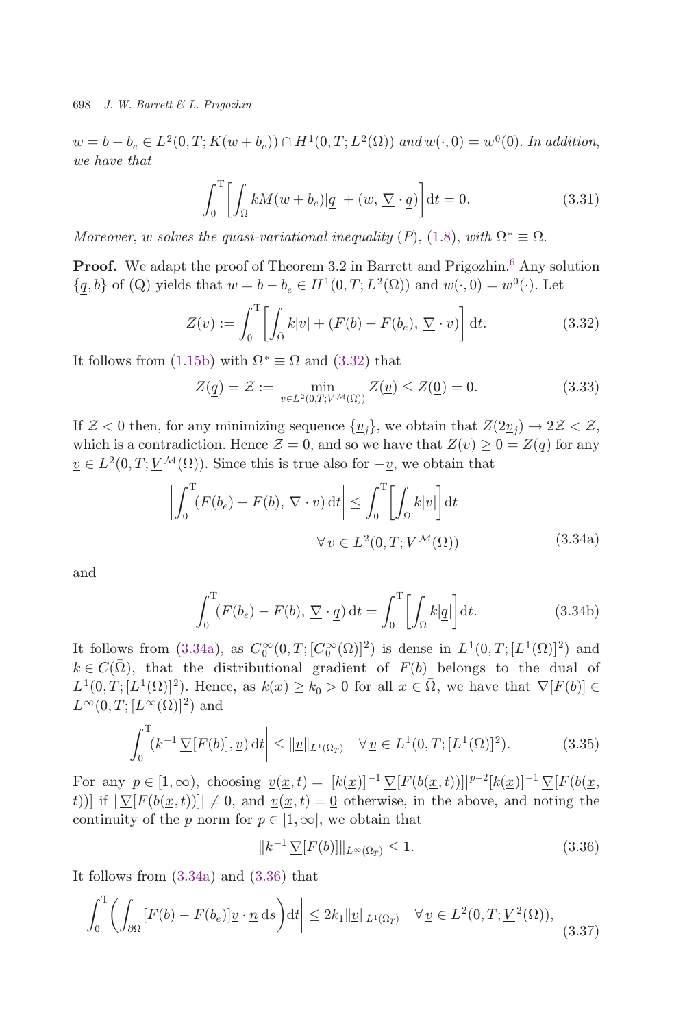<span id="page-19-0"></span> $w = b - b_e \in L^2(0, T; K(w + b_e)) \cap H^1(0, T; L^2(\Omega))$  and  $w(\cdot, 0) = w^0(0)$ . In addition, we have that

$$
\int_0^T \left[ \int_{\bar{\Omega}} k M(w + b_e) |\underline{q}| + (w, \underline{\nabla} \cdot \underline{q}) \right] dt = 0.
$$
 (3.31)

Moreover, w solves the quasi-variational inequality  $(P)$ ,  $(1.8)$  $(1.8)$ , with  $\Omega^* \equiv \Omega$ .

**Proof.** We adapt the proof of Theorem 3.2 in Barrett and Prigozhin.<sup>[6](#page-26-0)</sup> Any solution  $\{q, b\}$  of (Q) yields that  $w = b - b_e \in H^1(0, T; L^2(\Omega))$  and  $w(\cdot, 0) = w^0(\cdot)$ . Let

$$
Z(\underline{v}) := \int_0^T \left[ \int_{\bar{\Omega}} k|\underline{v}| + (F(b) - F(b_e), \underline{\nabla} \cdot \underline{v}) \right] dt.
$$
 (3.32)

It follows from [\(1.15b](#page-5-0)) with  $\Omega^* \equiv \Omega$  and (3.32) that

$$
Z(\underline{q}) = \mathcal{Z} := \min_{\underline{v} \in L^2(0,T;\underline{V}^{\mathcal{M}}(\Omega))} Z(\underline{v}) \le Z(\underline{0}) = 0.
$$
 (3.33)

If  $\mathcal{Z} < 0$  then, for any minimizing sequence  $\{v_i\}$ , we obtain that  $Z(2v_i) \to 2\mathcal{Z} < \mathcal{Z}$ , which is a contradiction. Hence  $\mathcal{Z} = 0$ , and so we have that  $Z(\underline{v}) \geq 0 = Z(q)$  for any  $v \in L^2(0,T; \underline{V}^{\mathcal{M}}(\Omega))$ . Since this is true also for  $-\underline{v}$ , we obtain that

$$
\left| \int_0^T (F(b_e) - F(b), \, \underline{\nabla} \cdot \underline{v}) \, \mathrm{d}t \right| \le \int_0^T \left[ \int_{\bar{\Omega}} k | \underline{v} | \right] \mathrm{d}t
$$
\n
$$
\forall \, \underline{v} \in L^2(0, T; \underline{V}^{\mathcal{M}}(\Omega)) \tag{3.34a}
$$

and

$$
\int_0^T (F(b_e) - F(b), \nabla \cdot \underline{q}) dt = \int_0^T \left[ \int_{\bar{\Omega}} k | \underline{q} | \right] dt.
$$
 (3.34b)

It follows from  $(3.34a)$ , as  $C_0^{\infty}(0,T; [C_0^{\infty}(\Omega)]^2)$  is dense in  $L^1(0,T; [L^1(\Omega)]^2)$  and<br> $h \in C(\overline{\Omega})$  that the distributional gradient of  $F(h)$  belongs to the dual of  $k \in C(\overline{\Omega})$ , that the distributional gradient of  $F(b)$  belongs to the dual of  $L^1(0,T;[L^1(\Omega)]^2)$ . Hence, as  $k(\underline{x})\geq k_0>0$  for all  $\underline{x}\in\overline{\Omega}$ , we have that  $\nabla[F(b)]\in$  $L^{\infty}(0,T;[L^{\infty}(\Omega)]^2)$  and

$$
\left| \int_0^T (k^{-1} \, \underline{\nabla} [F(b)], \underline{v}) \, \mathrm{d}t \right| \le ||\underline{v}||_{L^1(\Omega_T)} \quad \forall \, \underline{v} \in L^1(0, T; [L^1(\Omega)]^2). \tag{3.35}
$$

For any  $p \in [1,\infty)$ , choosing  $\underline{v}(\underline{x},t) = |[k(\underline{x})]^{-1} \underline{\nabla} [F(b(\underline{x},t))] |^{p-2} [k(\underline{x})]^{-1} \underline{\nabla} [F(b(\underline{x},t))]$ t)) if  $|\nabla [F(b(\underline{x},t))]|\neq 0$ , and  $\underline{v}(\underline{x},t)=\underline{0}$  otherwise, in the above, and noting the continuity of the p norm for  $p \in [1,\infty]$ , we obtain that

$$
||k^{-1}\underline{\nabla}[F(b)]||_{L^{\infty}(\Omega_T)} \le 1.
$$
\n(3.36)

It follows from (3.34a) and (3.36) that

$$
\left| \int_0^T \left( \int_{\partial \Omega} [F(b) - F(b_e)] \underline{v} \cdot \underline{n} \, \mathrm{d}s \right) \mathrm{d}t \right| \le 2k_1 ||\underline{v}||_{L^1(\Omega_T)} \quad \forall \, \underline{v} \in L^2(0, T; \underline{V}^2(\Omega)), \tag{3.37}
$$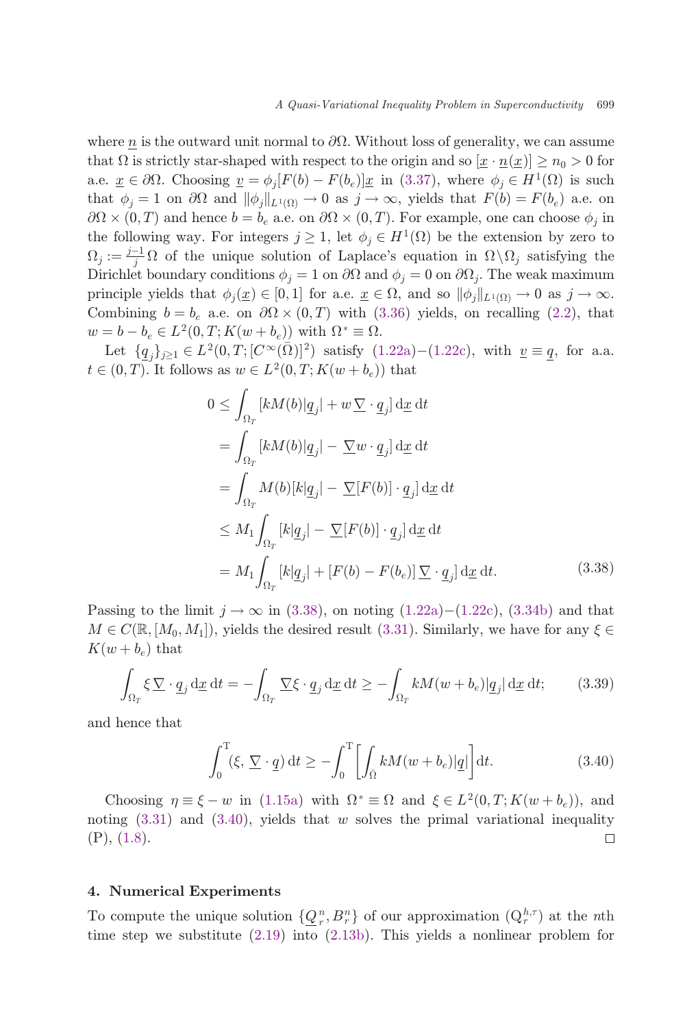<span id="page-20-0"></span>where n is the outward unit normal to  $\partial\Omega$ . Without loss of generality, we can assume that  $\Omega$  is strictly star-shaped with respect to the origin and so  $\left|\underline{x} \cdot \underline{n}(\underline{x})\right| \geq n_0 > 0$  for a.e.  $\underline{x} \in \partial \Omega$ . Choosing  $\underline{v} = \phi_i[F(b) - F(b_e)]\underline{x}$  in ([3.37](#page-19-0)), where  $\phi_i \in H^1(\Omega)$  is such that  $\phi_j = 1$  on  $\partial\Omega$  and  $\|\phi_j\|_{L^1(\Omega)} \to 0$  as  $j \to \infty$ , yields that  $F(b) = F(b_e)$  a.e. on  $\partial\Omega \times (0,T)$  and hence  $b = b_e$  a.e. on  $\partial\Omega \times (0,T)$ . For example, one can choose  $\phi_j$  in<br>the following way. For integers  $i > 1$ , let  $\phi \in H^1(\Omega)$  be the extension by zero to the following way. For integers  $j \geq 1$ , let  $\phi_j \in H^1(\Omega)$  be the extension by zero to  $\Omega_j := \frac{j-1}{j} \Omega$  of the unique solution of Laplace's equation in  $\Omega \setminus \Omega_j$  satisfying the Dirichlet boundary conditions  $\phi = 1$  on  $\partial \Omega$  and  $\phi = 0$  on  $\partial \Omega$ . The work maximum Dirichlet boundary conditions  $\phi_i = 1$  on  $\partial\Omega$  and  $\phi_i = 0$  on  $\partial\Omega_i$ . The weak maximum principle yields that  $\phi_i(\underline{x}) \in [0,1]$  for a.e.  $\underline{x} \in \Omega$ , and so  $\|\phi_i\|_{L^1(\Omega)} \to 0$  as  $j \to \infty$ . Combining  $b = b_e$  a.e. on  $\partial\Omega \times (0,T)$  with [\(3.36\)](#page-19-0) yields, on recalling ([2.2](#page-9-0)), that  $w = b_e + b_e \in L^2(0,T; K(w+h))$  with  $Q^* = Q$  $w = b - b_e \in L^2(0, T; K(w + b_e))$  with  $\Omega^* \equiv \Omega$ .

Let  $\{q_j\}_{j\geq 1} \in L^2(0,T; [C^\infty(\bar{\Omega})]^2)$  satisfy  $(1.22a)-(1.22c)$  $(1.22a)-(1.22c)$  $(1.22a)-(1.22c)$  $(1.22a)-(1.22c)$ , with  $\underline{v} \equiv q$ , for a.a.  $t \in (0,T)$ . It follows as  $w \in L^2(0,T; K(w + b_e))$  that

$$
0 \leq \int_{\Omega_T} [kM(b)|\underline{q}_j| + w \underline{\nabla} \cdot \underline{q}_j] \,d\underline{x} \,dt
$$
  
\n
$$
= \int_{\Omega_T} [kM(b)|\underline{q}_j| - \underline{\nabla} w \cdot \underline{q}_j] \,d\underline{x} \,dt
$$
  
\n
$$
= \int_{\Omega_T} M(b)[k|\underline{q}_j| - \underline{\nabla}[F(b)] \cdot \underline{q}_j] \,d\underline{x} \,dt
$$
  
\n
$$
\leq M_1 \int_{\Omega_T} [k|\underline{q}_j| - \underline{\nabla}[F(b)] \cdot \underline{q}_j] \,d\underline{x} \,dt
$$
  
\n
$$
= M_1 \int_{\Omega_T} [k|\underline{q}_j| + [F(b) - F(b_e)] \underline{\nabla} \cdot \underline{q}_j] \,d\underline{x} \,dt.
$$
\n(3.38)

Passing to the limit  $j \to \infty$  in (3.38), on noting ([1.22a](#page-8-0))–([1.22c](#page-8-0)), [\(3.34b](#page-19-0)) and that  $M \in C(\mathbb{R}, [M_0, M_1])$ , yields the desired result ([3.31](#page-19-0)). Similarly, we have for any  $\xi \in$  $K(w + b_e)$  that

$$
\int_{\Omega_T} \xi \, \nabla \cdot \underline{q}_j \, \mathrm{d}\underline{x} \, \mathrm{d}t = -\int_{\Omega_T} \nabla \xi \cdot \underline{q}_j \, \mathrm{d}\underline{x} \, \mathrm{d}t \ge -\int_{\Omega_T} k M(w + b_e) |\underline{q}_j| \, \mathrm{d}\underline{x} \, \mathrm{d}t; \tag{3.39}
$$

and hence that

$$
\int_0^T (\xi, \nabla \cdot \underline{q}) dt \ge -\int_0^T \left[ \int_{\bar{\Omega}} k M(w + b_e) |\underline{q}| \right] dt.
$$
 (3.40)

Choosing  $\eta \equiv \xi - w$  in [\(1.15a\)](#page-5-0) with  $\Omega^* \equiv \Omega$  and  $\xi \in L^2(0,T;K(w+b_e))$ , and<br>ting (2.21) and (2.40) violds that we solve the primal veriational inequality noting  $(3.31)$  $(3.31)$  and  $(3.40)$ , yields that w solves the primal variational inequality (P), [\(1.8\)](#page-3-0).  $\Box$ 

### 4. Numerical Experiments

To compute the unique solution  $\{Q_n^n, B_n^n\}$  of our approximation  $(Q_n^{h,\tau})$  at the *n*th<br>time stap we substitute (2.10) into (2.12b). This violds a poplinear problem for time step we substitute  $(2.19)$  $(2.19)$  $(2.19)$  into  $(2.13b)$  $(2.13b)$  $(2.13b)$ . This yields a nonlinear problem for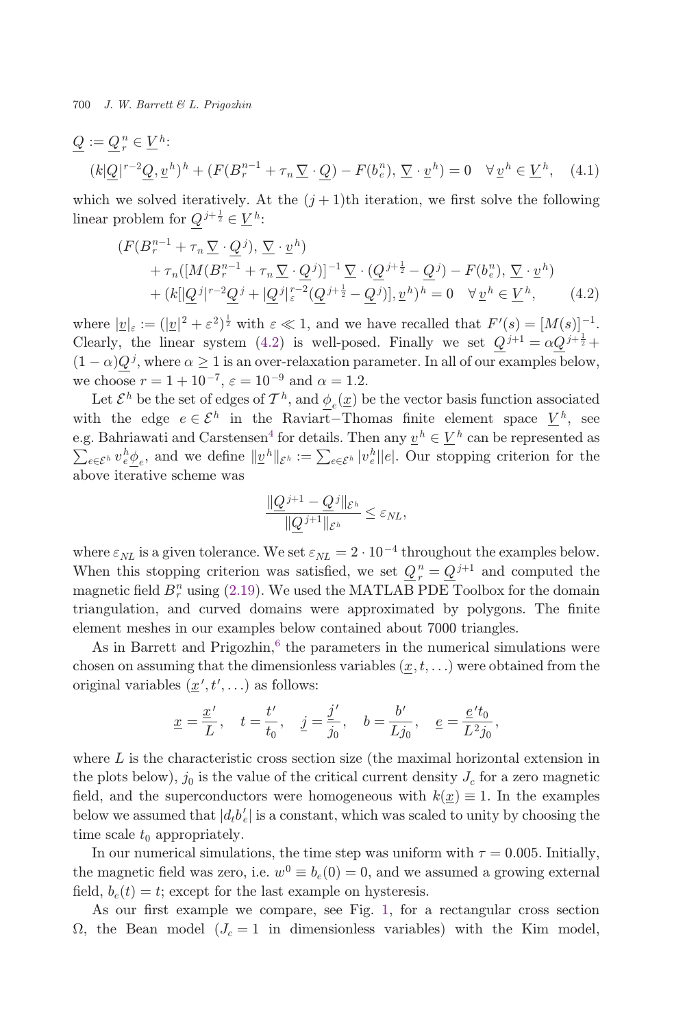$$
\underline{Q} := \underline{Q}_r^n \in \underline{V}^h:
$$
  

$$
(k|\underline{Q}|^{r-2}\underline{Q}, \underline{v}^h)^h + (F(B_r^{n-1} + \tau_n \underline{\nabla} \cdot \underline{Q}) - F(b_e^n), \underline{\nabla} \cdot \underline{v}^h) = 0 \quad \forall \underline{v}^h \in \underline{V}^h, \quad (4.1)
$$

which we solved iteratively. At the  $(j+1)$ th iteration, we first solve the following linear problem for  $Q^{j+\frac{1}{2}} \in \underline{V}^h$ :

$$
(F(B_r^{n-1} + \tau_n \underline{\nabla} \cdot \underline{Q}^j), \underline{\nabla} \cdot \underline{v}^h)
$$
  
+ 
$$
\tau_n([M(B_r^{n-1} + \tau_n \underline{\nabla} \cdot \underline{Q}^j)]^{-1} \underline{\nabla} \cdot (\underline{Q}^{j+\frac{1}{2}} - \underline{Q}^j) - F(b_e^n), \underline{\nabla} \cdot \underline{v}^h)
$$
  
+ 
$$
(k[\underline{Q}^j]^{r-2} \underline{Q}^j + [\underline{Q}^j]_{\varepsilon}^{r-2} (\underline{Q}^{j+\frac{1}{2}} - \underline{Q}^j)], \underline{v}^h)^h = 0 \quad \forall \underline{v}^h \in \underline{V}^h,
$$
 (4.2)

where  $|\underline{v}|_{\varepsilon} := (|\underline{v}|^2 + \varepsilon^2)^{\frac{1}{2}}$  with  $\varepsilon \ll 1$ , and we have recalled that  $F'(s) = [M(s)]^{-1}$ .<br>Closely the linear system  $(A, 2)$  is well posed. Finally we set  $O^{i+1} = \omega O^{i+\frac{1}{2}}$ . Clearly, the linear system (4.2) is well-posed. Finally we set  $Q^{j+1} = \alpha Q^{j+\frac{1}{2}} +$ <br>(1,  $\alpha$ ) $Q^{j}$  where  $\alpha > 1$  is an over relayetion parameter. In all of our examples below.  $(1 - \alpha)Q^{j}$ , where  $\alpha \geq 1$  is an over-relaxation parameter. In all of our examples below, we choose  $r = 1 + 10^{-7}$ ,  $\varepsilon = 10^{-9}$  and  $\alpha = 1.2$ .

Let  $\mathcal{E}^h$  be the set of edges of  $\mathcal{T}^h$ , and  $\phi$ <sub>c</sub>(<u>x</u>) be the vector basis function associated with the edge  $e \in \mathcal{E}^h$  in the Raviart-Thomas finite element space  $V^h$ , see e.g. Bahriawati and Carstensen<sup>4</sup> for details. Then any  $\underline{v}^h \in \underline{V}^h$  can be represented as  $\sum_{e \in \mathcal{E}^h} v_e^h \underline{\phi}_e$ , and we define  $||\underline{v}^h||_{\mathcal{E}^h} := \sum_{e \in \mathcal{E}^h} |v_e^h||e|$ . Our stopping criterion for the above iterative scheme was

$$
\frac{\|\underline{Q}^{j+1}-\underline{Q}^j\|_{\mathcal{E}^h}}{\|\underline{Q}^{j+1}\|_{\mathcal{E}^h}} \leq \varepsilon_{NL},
$$

where  $\varepsilon_{NL}$  is a given tolerance. We set  $\varepsilon_{NL} = 2 \cdot 10^{-4}$  throughout the examples below. When this stopping criterion was satisfied, we set  $Q_r^n = Q^{j+1}$  and computed the magnetic field  $R^n$  using (2.10). We used the MATI AR PDF Teelbox for the demain magnetic field  $B_r^n$  using ([2.19](#page-11-0)). We used the MATLAB PDE Toolbox for the domain triangulation, and curved domains were approximated by polygons. The finite element meshes in our examples below contained about 7000 triangles.

As in Barrett and Prigozhin, $6$  the parameters in the numerical simulations were chosen on assuming that the dimensionless variables  $(x, t, \ldots)$  were obtained from the original variables  $(\underline{x}', t', \ldots)$  as follows:

$$
\underline{x}=\frac{\underline{x}'}{L},\quad t=\frac{t'}{t_0},\quad \underline{j}=\frac{\underline{j}'}{j_0},\quad b=\frac{b'}{Lj_0},\quad \underline{e}=\frac{\underline{e}'t_0}{L^2j_0},
$$

where  $L$  is the characteristic cross section size (the maximal horizontal extension in the plots below),  $j_0$  is the value of the critical current density  $J_c$  for a zero magnetic field, and the superconductors were homogeneous with  $k(\underline{x}) \equiv 1$ . In the examples below we assumed that  $|d_t b'_e|$  is a constant, which was scaled to unity by choosing the time scale to announistely time scale  $t_0$  appropriately.

In our numerical simulations, the time step was uniform with  $\tau = 0.005$ . Initially, the magnetic field was zero, i.e.  $w^0 \equiv b_e(0) = 0$ , and we assumed a growing external field,  $b_e(t) = t$ ; except for the last example on hysteresis.

As our first example we compare, see Fig. [1,](#page-22-0) for a rectangular cross section  $\Omega$ , the Bean model  $(J_c = 1$  in dimensionless variables) with the Kim model,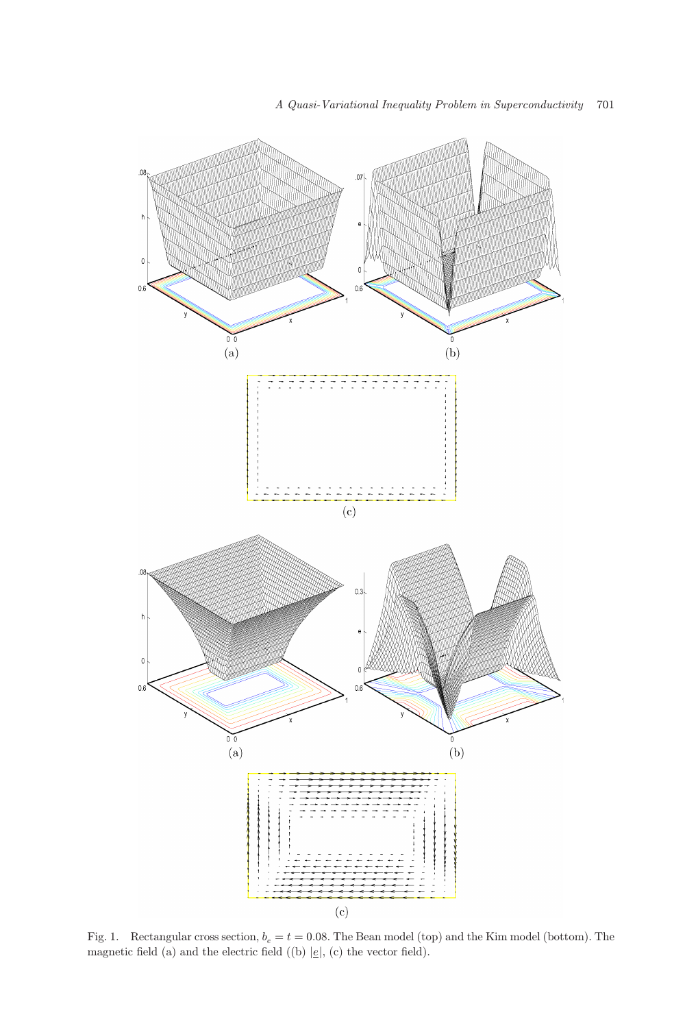<span id="page-22-0"></span>

Fig. 1. Rectangular cross section,  $b_e = t = 0.08$ . The Bean model (top) and the Kim model (bottom). The magnetic field (a) and the electric field ((b)  $|e|$ , (c) the vector field).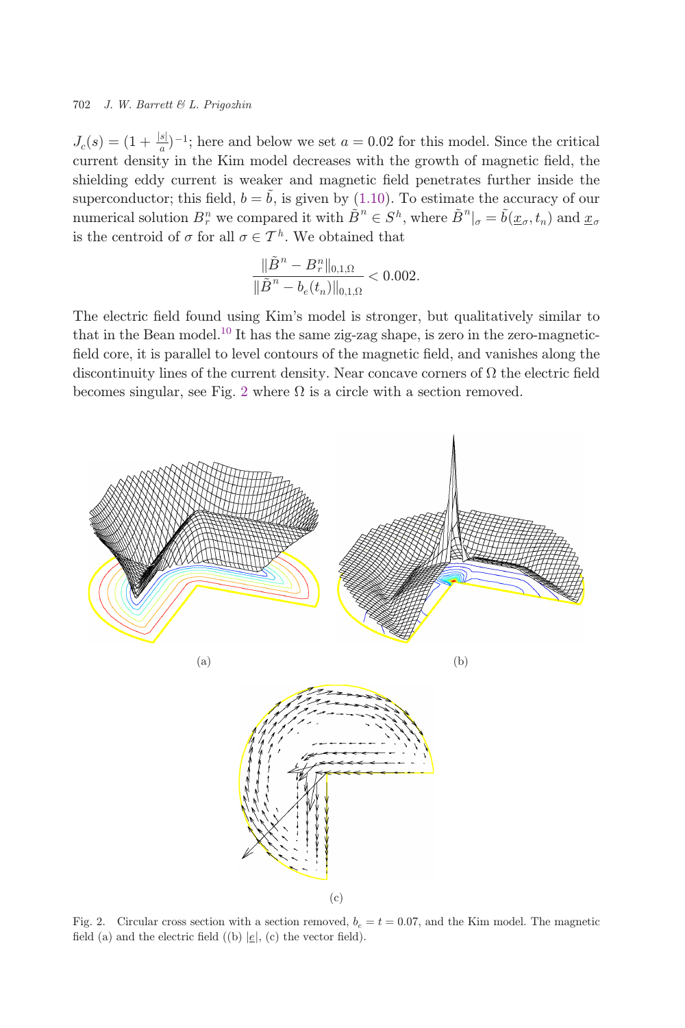$J_c(s) = (1 + \frac{|s|}{a})^{-1}$ ; here and below we set  $a = 0.02$  for this model. Since the critical<br>current density in the Kim model decreases with the growth of magnetic field, the current density in the Kim model decreases with the growth of magnetic field, the shielding eddy current is weaker and magnetic field penetrates further inside the superconductor; this field,  $b = \tilde{b}$ , is given by [\(1.10\)](#page-3-0). To estimate the accuracy of our numerical solution  $B_r^n$  we compared it with  $\tilde{B}^n \in S^h$ , where  $\tilde{B}^n|_{\sigma} = \tilde{b}(\underline{x}_{\sigma}, t_n)$  and  $\underline{x}_{\sigma}$ <br>is the control of  $\sigma$  for all  $\sigma \in \mathcal{T}^h$ . We obtained that is the centroid of  $\sigma$  for all  $\sigma \in \mathcal{T}^h$ . We obtained that

$$
\frac{\|\tilde{B}^n - B_r^n\|_{0,1,\Omega}}{\|\tilde{B}^n - b_e(t_n)\|_{0,1,\Omega}} < 0.002.
$$

The electric field found using Kim's model is stronger, but qualitatively similar to that in the Bean model.<sup>[10](#page-26-0)</sup> It has the same zig-zag shape, is zero in the zero-magneticfield core, it is parallel to level contours of the magnetic field, and vanishes along the discontinuity lines of the current density. Near concave corners of  $\Omega$  the electric field becomes singular, see Fig. 2 where  $\Omega$  is a circle with a section removed.



Fig. 2. Circular cross section with a section removed,  $b_e = t = 0.07$ , and the Kim model. The magnetic field (a) and the electric field ((b)  $|e|$ , (c) the vector field).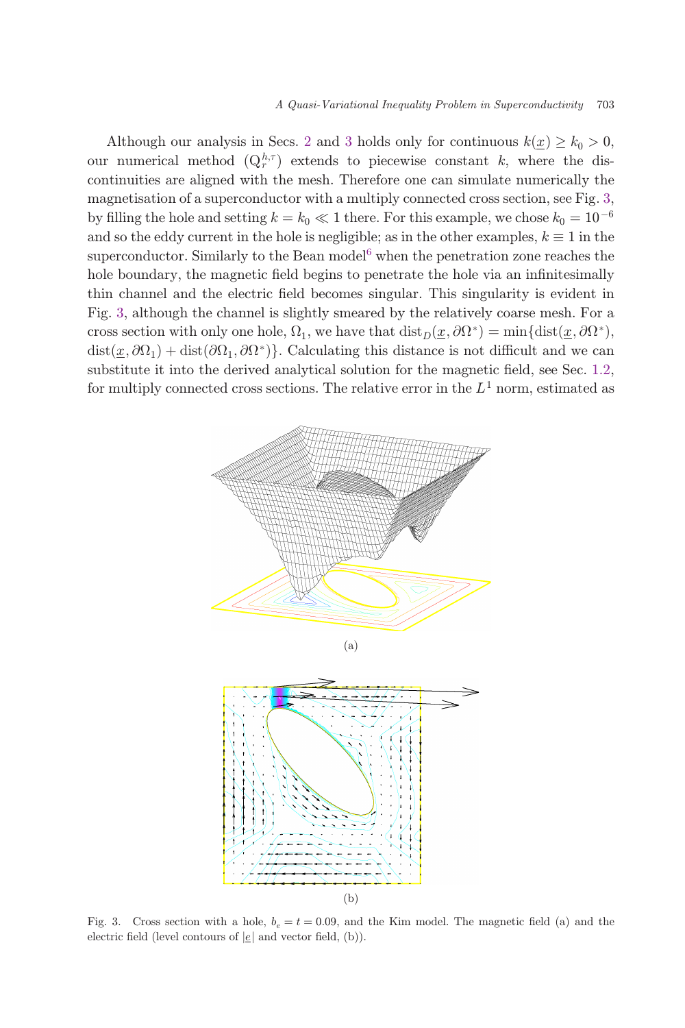Although our analysis in Secs. [2](#page-8-0) and [3](#page-13-0) holds only for continuous  $k(x) \geq k_0 > 0$ , our numerical method  $(Q_r^{h,\tau})$  extends to piecewise constant k, where the discontinuities are aligned with the mesh. Therefore one can simulate numerically the magnetisation of a superconductor with a multiply connected cross section, see Fig. 3, by filling the hole and setting  $k = k_0 \ll 1$  there. For this example, we chose  $k_0 = 10^{-6}$ and so the eddy current in the hole is negligible; as in the other examples,  $k \equiv 1$  in the superconductor. Similarly to the Bean model $6$  when the penetration zone reaches the hole boundary, the magnetic field begins to penetrate the hole via an infinitesimally thin channel and the electric field becomes singular. This singularity is evident in Fig. 3, although the channel is slightly smeared by the relatively coarse mesh. For a cross section with only one hole,  $\Omega_1$ , we have that  $dist_D(x, \partial \Omega^*) = \min\{dist(x, \partial \Omega^*),\}$  $dist(\underline{x}, \partial\Omega_1) + dist(\partial\Omega_1, \partial\Omega^*)\}.$  Calculating this distance is not difficult and we can substitute it into the derived analytical solution for the magnetic field, see Sec.  $1.2$ , for multiply connected cross sections. The relative error in the  $L<sup>1</sup>$  norm, estimated as



Fig. 3. Cross section with a hole,  $b_e = t = 0.09$ , and the Kim model. The magnetic field (a) and the electric field (level contours of  $|e|$  and vector field, (b)).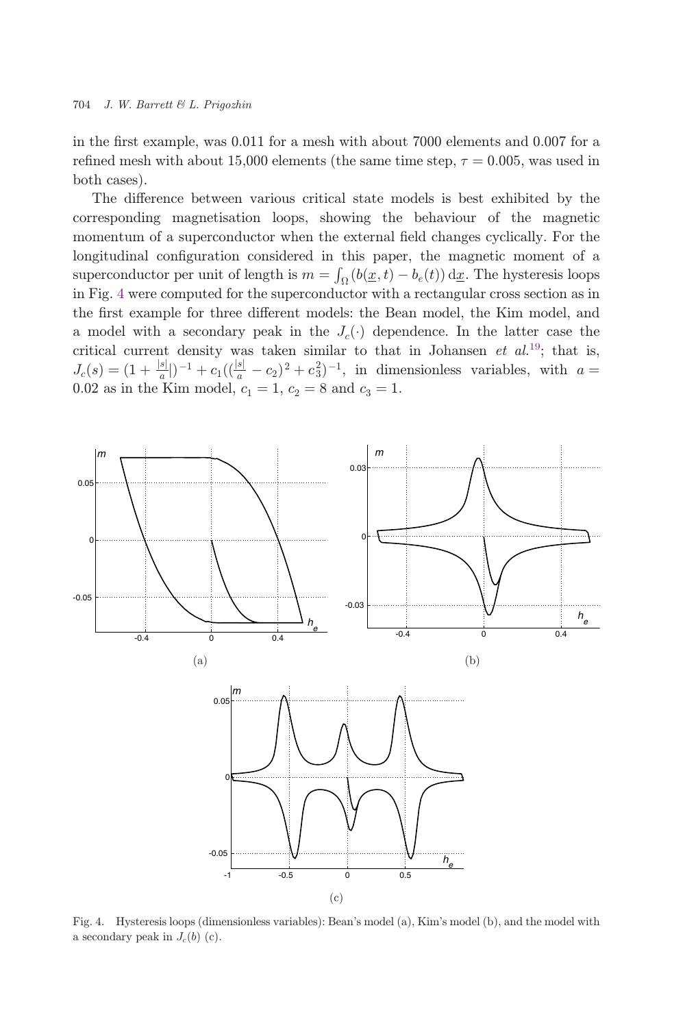in the first example, was  $0.011$  for a mesh with about 7000 elements and  $0.007$  for a refined mesh with about 15,000 elements (the same time step,  $\tau = 0.005$ , was used in both cases).

The difference between various critical state models is best exhibited by the corresponding magnetisation loops, showing the behaviour of the magnetic momentum of a superconductor when the external field changes cyclically. For the longitudinal configuration considered in this paper, the magnetic moment of a superconductor per unit of length is  $m = \int_{\Omega} (b(\underline{x}, t) - b_e(t)) d\underline{x}$ . The hysteresis loops<br>in Fig. 4 were computed for the superconductor with a rectangular cross section as in in Fig. 4 were computed for the superconductor with a rectangular cross section as in the first example for three different models: the Bean model, the Kim model, and a model with a secondary peak in the  $J_c(\cdot)$  dependence. In the latter case the critical current density was taken similar to that in Johansen et  $al$ .<sup>[19](#page-27-0)</sup>; that is,  $J_c(s) = (1 + \frac{|s|}{a}|)^{-1} + c_1((\frac{|s|}{a} - c_2)^2 + c_3^2)^{-1}$ , in dimensionless variables, with  $a = 0.02$  or in the Kim model  $a = 1$ ,  $a = 8$  and  $a = 1$ . 0.02 as in the Kim model,  $c_1 = 1, c_2 = 8$  and  $c_3 = 1$ .



Fig. 4. Hysteresis loops (dimensionless variables): Bean's model (a), Kim's model (b), and the model with a secondary peak in  $J_c(b)$  (c).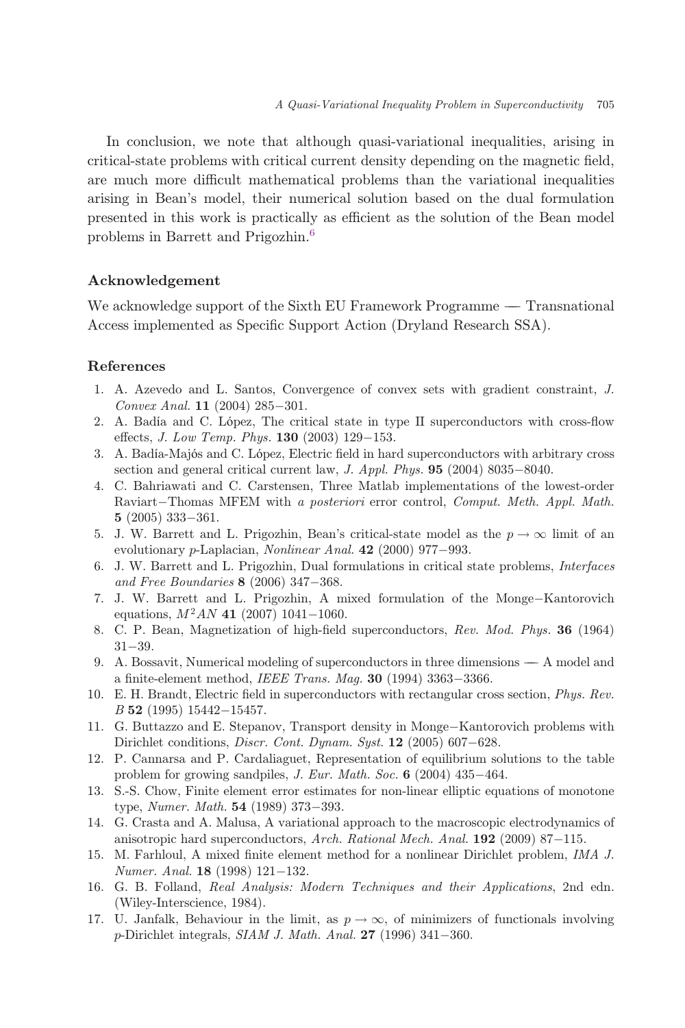<span id="page-26-0"></span>In conclusion, we note that although quasi-variational inequalities, arising in critical-state problems with critical current density depending on the magnetic field, are much more difficult mathematical problems than the variational inequalities arising in Bean's model, their numerical solution based on the dual formulation presented in this work is practically as efficient as the solution of the Bean model problems in Barrett and Prigozhin.<sup>6</sup>

## Acknowledgement

We acknowledge support of the Sixth EU Framework Programme — Transnational Access implemented as Specific Support Action (Dryland Research SSA).

## References

- 1. A. Azevedo and L. Santos, Convergence of convex sets with gradient constraint, J. Convex Anal.  $11$  (2004) 285-301.
- 2. A. Badía and C. López, The critical state in type II superconductors with cross-flow effects, *J. Low Temp. Phys.*  $130$  (2003) 129-153.
- 3. A. Badía-Majós and C. López, Electric field in hard superconductors with arbitrary cross section and general critical current law, *J. Appl. Phys.*  $95$  (2004) 8035-8040.
- 4. C. Bahriawati and C. Carstensen, Three Matlab implementations of the lowest-order Raviart-Thomas MFEM with a posteriori error control, Comput. Meth. Appl. Math.  $5(2005)333 - 361.$
- 5. J. W. Barrett and L. Prigozhin, Bean's critical-state model as the  $p \to \infty$  limit of an evolutionary p-Laplacian, Nonlinear Anal.  $42$  (2000) 977-993.
- 6. J. W. Barrett and L. Prigozhin, Dual formulations in critical state problems, Interfaces and Free Boundaries  $8$  (2006) 347-368.
- 7. J. W. Barrett and L. Prigozhin, A mixed formulation of the Monge-Kantorovich equations,  $M^2AN$  41 (2007) 1041-1060.
- 8. C. P. Bean, Magnetization of high-field superconductors, Rev. Mod. Phys. 36 (1964)  $31 - 39.$
- 9. A. Bossavit, Numerical modeling of superconductors in three dimensions A model and a finite-element method, IEEE Trans. Maq.  $30$  (1994) 3363-3366.
- 10. E. H. Brandt, Electric field in superconductors with rectangular cross section, *Phys. Rev.*  $B$  52 (1995) 15442-15457.
- 11. G. Buttazzo and E. Stepanov, Transport density in Monge-Kantorovich problems with Dirichlet conditions, *Discr. Cont. Dynam. Syst.*  $12$  (2005) 607–628.
- 12. P. Cannarsa and P. Cardaliaguet, Representation of equilibrium solutions to the table problem for growing sandpiles,  $J. Eur. Math. Soc. 6 (2004) 435-464.$
- 13. S.-S. Chow, Finite element error estimates for non-linear elliptic equations of monotone type, *Numer. Math.*  $54$  (1989) 373–393.
- 14. G. Crasta and A. Malusa, A variational approach to the macroscopic electrodynamics of anisotropic hard superconductors, Arch. Rational Mech. Anal.  $192$  (2009) 87-115.
- 15. M. Farhloul, A mixed finite element method for a nonlinear Dirichlet problem, IMA J. Numer. Anal.  $18$  (1998) 121-132.
- 16. G. B. Folland, Real Analysis: Modern Techniques and their Applications, 2nd edn. (Wiley-Interscience, 1984).
- 17. U. Janfalk, Behaviour in the limit, as  $p \to \infty$ , of minimizers of functionals involving p-Dirichlet integrals,  $SIAM J. Math. Anal. 27 (1996) 341-360.$